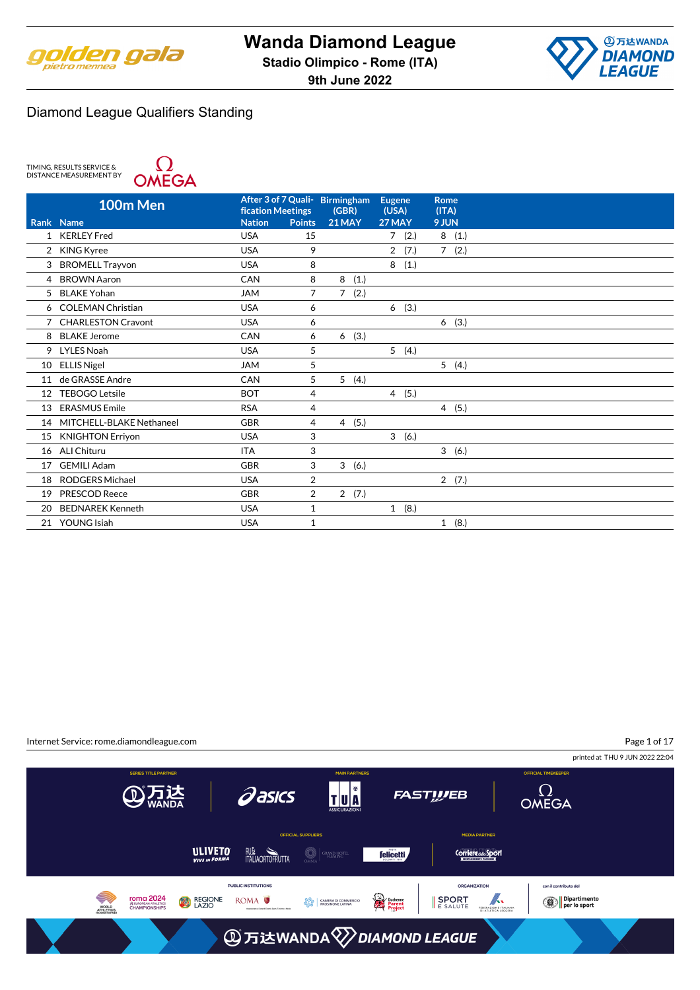



TIMING, RESULTS SERVICE &<br>DISTANCE MEASUREMENT BY



|    | 100m Men                  | <b>fication Meetings</b> |                | After 3 of 7 Quali- Birmingham<br>(GBR) | <b>Eugene</b><br>(USA) | <b>Rome</b><br>(ITA) |
|----|---------------------------|--------------------------|----------------|-----------------------------------------|------------------------|----------------------|
|    | Rank Name                 | <b>Nation</b>            | <b>Points</b>  | <b>21 MAY</b>                           | 27 MAY                 | 9 JUN                |
| 1  | <b>KERLEY Fred</b>        | <b>USA</b>               | 15             |                                         | (2.)<br>7              | 8(1.)                |
|    | 2 KING Kyree              | <b>USA</b>               | 9              |                                         | $\overline{2}$<br>(7.) | 7(2.)                |
| 3  | <b>BROMELL Trayvon</b>    | <b>USA</b>               | 8              |                                         | 8(1.)                  |                      |
| 4  | <b>BROWN Aaron</b>        | CAN                      | 8              | 8<br>(1.)                               |                        |                      |
| 5  | <b>BLAKE Yohan</b>        | <b>JAM</b>               | 7              | $\overline{7}$<br>(2.)                  |                        |                      |
| 6  | <b>COLEMAN Christian</b>  | <b>USA</b>               | 6              |                                         | (3.)<br>6              |                      |
| 7  | <b>CHARLESTON Cravont</b> | <b>USA</b>               | 6              |                                         |                        | (3.)<br>6            |
| 8  | <b>BLAKE Jerome</b>       | CAN                      | 6              | (3.)<br>6                               |                        |                      |
| 9  | LYLES Noah                | <b>USA</b>               | 5              |                                         | 5(4.)                  |                      |
| 10 | <b>ELLIS Nigel</b>        | <b>JAM</b>               | 5              |                                         |                        | 5(4.)                |
| 11 | de GRASSE Andre           | CAN                      | 5              | 5(4.)                                   |                        |                      |
| 12 | <b>TEBOGO Letsile</b>     | <b>BOT</b>               | 4              |                                         | 4(5.)                  |                      |
| 13 | <b>ERASMUS Emile</b>      | <b>RSA</b>               | 4              |                                         |                        | 4(5.)                |
| 14 | MITCHELL-BLAKE Nethaneel  | <b>GBR</b>               | 4              | 4(5.)                                   |                        |                      |
| 15 | <b>KNIGHTON Erriyon</b>   | <b>USA</b>               | 3              |                                         | 3(6.)                  |                      |
| 16 | ALI Chituru               | <b>ITA</b>               | 3              |                                         |                        | 3(6.)                |
| 17 | <b>GEMILI Adam</b>        | <b>GBR</b>               | 3              | 3(6.)                                   |                        |                      |
| 18 | <b>RODGERS Michael</b>    | <b>USA</b>               | $\overline{2}$ |                                         |                        | 2(7.)                |
| 19 | <b>PRESCOD Reece</b>      | <b>GBR</b>               | 2              | 2(7.)                                   |                        |                      |
| 20 | <b>BEDNAREK Kenneth</b>   | <b>USA</b>               | 1              |                                         | 1(8.)                  |                      |
|    | 21 YOUNG Isiah            | <b>USA</b>               | 1              |                                         |                        | (8.)<br>$\mathbf{1}$ |

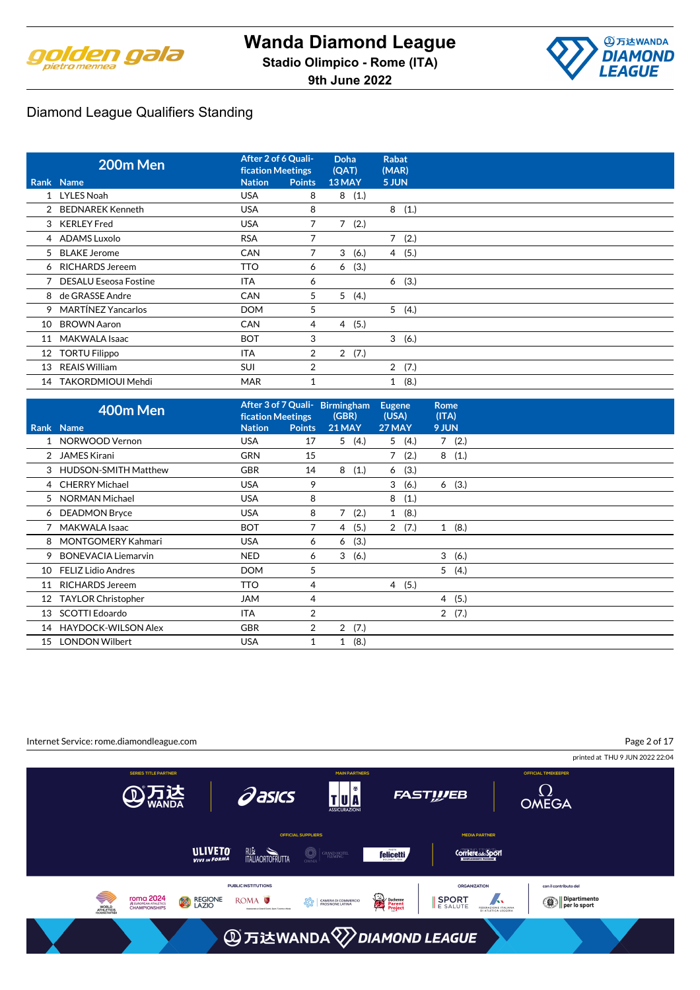



|    | 200m Men                | After 2 of 6 Quali-<br><b>fication Meetings</b> |                | <b>Doha</b><br>(QAT)   | <b>Rabat</b><br>(MAR) |  |
|----|-------------------------|-------------------------------------------------|----------------|------------------------|-----------------------|--|
|    | Rank Name               | <b>Nation</b>                                   | <b>Points</b>  | 13 MAY                 | 5 JUN                 |  |
|    | 1 LYLES Noah            | <b>USA</b>                                      | 8              | 8<br>(1.)              |                       |  |
|    | 2 BEDNAREK Kenneth      | <b>USA</b>                                      | 8              |                        | 8<br>(1.)             |  |
|    | 3 KERLEY Fred           | <b>USA</b>                                      | 7              | $\overline{7}$<br>(2.) |                       |  |
|    | 4 ADAMS Luxolo          | <b>RSA</b>                                      | 7              |                        | $7^{\circ}$<br>(2.)   |  |
|    | 5 BLAKE Jerome          | <b>CAN</b>                                      | 7              | 3<br>(6.)              | 4(5.)                 |  |
|    | 6 RICHARDS Jereem       | <b>TTO</b>                                      | 6              | (3.)<br>6              |                       |  |
|    | 7 DESALU Eseosa Fostine | <b>ITA</b>                                      | 6              |                        | (3.)<br>6             |  |
|    | 8 de GRASSE Andre       | <b>CAN</b>                                      | 5              | 5<br>(4.)              |                       |  |
|    | 9 MARTÍNEZ Yancarlos    | <b>DOM</b>                                      | 5              |                        | 5(4.)                 |  |
| 10 | <b>BROWN Aaron</b>      | <b>CAN</b>                                      | 4              | 4(5.)                  |                       |  |
| 11 | MAKWALA Isaac           | <b>BOT</b>                                      | 3              |                        | 3(6.)                 |  |
| 12 | <b>TORTU Filippo</b>    | <b>ITA</b>                                      | $\overline{2}$ | 2(7.)                  |                       |  |
| 13 | REAIS William           | <b>SUI</b>                                      | 2              |                        | 2(7.)                 |  |
| 14 | TAKORDMIOUI Mehdi       | <b>MAR</b>                                      |                |                        | (8.)<br>1             |  |

|    | 400m Men                  | <b>fication Meetings</b> |                | After 3 of 7 Quali- Birmingham<br>(GBR) | <b>Eugene</b><br>(USA) | <b>Rome</b><br>(ITA) |  |
|----|---------------------------|--------------------------|----------------|-----------------------------------------|------------------------|----------------------|--|
|    | Rank Name                 | <b>Nation</b>            | <b>Points</b>  | <b>21 MAY</b>                           | 27 MAY                 | 9 JUN                |  |
|    | 1 NORWOOD Vernon          | <b>USA</b>               | 17             | (4.)<br>5                               | 5(4.)                  | 7(2.)                |  |
|    | JAMES Kirani              | <b>GRN</b>               | 15             |                                         | (2.)                   | (1.)<br>8            |  |
|    | 3 HUDSON-SMITH Matthew    | <b>GBR</b>               | 14             | 8<br>(1.)                               | (3.)<br>6              |                      |  |
|    | 4 CHERRY Michael          | <b>USA</b>               | 9              |                                         | 3<br>(6.)              | (3.)<br>6            |  |
|    | 5 NORMAN Michael          | <b>USA</b>               | 8              |                                         | 8<br>(1.)              |                      |  |
|    | 6 DEADMON Bryce           | <b>USA</b>               | 8              | 7<br>(2.)                               | 1(8.)                  |                      |  |
|    | <b>MAKWALA Isaac</b>      | <b>BOT</b>               | 7              | (5.)<br>4                               | 2(7.)                  | (8.)<br>1            |  |
|    | 8 MONTGOMERY Kahmari      | <b>USA</b>               | 6              | (3.)<br>6                               |                        |                      |  |
|    | 9 BONEVACIA Liemarvin     | <b>NED</b>               | 6              | (6.)<br>3                               |                        | 3<br>(6.)            |  |
| 10 | <b>FELIZ Lidio Andres</b> | <b>DOM</b>               | 5              |                                         |                        | 5(4.)                |  |
| 11 | <b>RICHARDS Jereem</b>    | TTO                      | 4              |                                         | 4(5.)                  |                      |  |
| 12 | <b>TAYLOR Christopher</b> | <b>JAM</b>               | 4              |                                         |                        | (5.)<br>4            |  |
| 13 | SCOTTI Edoardo            | ITA                      | 2              |                                         |                        | 2(7.)                |  |
| 14 | HAYDOCK-WILSON Alex       | <b>GBR</b>               | $\overline{2}$ | 2(7.)                                   |                        |                      |  |
| 15 | <b>LONDON Wilbert</b>     | <b>USA</b>               | 1              | (8.)<br>1                               |                        |                      |  |

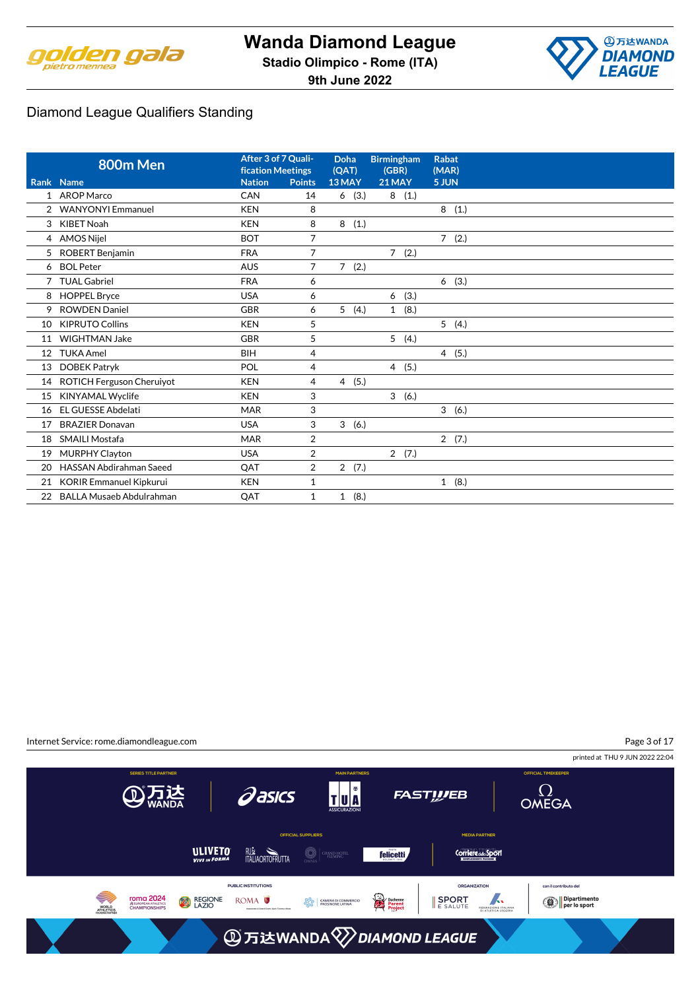



# Diamond League Qualifiers Standing

|                | 800m Men                         | After 3 of 7 Quali-<br><b>fication Meetings</b> |                | Doha<br>(QAT)          | <b>Birmingham</b><br>(GBR) | <b>Rabat</b><br>(MAR) |
|----------------|----------------------------------|-------------------------------------------------|----------------|------------------------|----------------------------|-----------------------|
|                | Rank Name                        | <b>Nation</b>                                   | <b>Points</b>  | 13 MAY                 | <b>21 MAY</b>              | 5 JUN                 |
|                | 1 AROP Marco                     | CAN                                             | 14             | (3.)<br>6              | 8(1.)                      |                       |
|                | 2 WANYONYI Emmanuel              | <b>KEN</b>                                      | 8              |                        |                            | 8<br>(1.)             |
| 3              | <b>KIBET Noah</b>                | <b>KEN</b>                                      | 8              | 8<br>(1.)              |                            |                       |
| 4              | <b>AMOS Nijel</b>                | <b>BOT</b>                                      | 7              |                        |                            | 7(2.)                 |
| 5              | ROBERT Benjamin                  | <b>FRA</b>                                      | 7              |                        | 7(2.)                      |                       |
| 6              | <b>BOL Peter</b>                 | <b>AUS</b>                                      | $\overline{7}$ | 7(2.)                  |                            |                       |
| $\overline{7}$ | <b>TUAL Gabriel</b>              | <b>FRA</b>                                      | 6              |                        |                            | 6(3.)                 |
| 8              | <b>HOPPEL Bryce</b>              | <b>USA</b>                                      | 6              |                        | (3.)<br>6                  |                       |
| 9              | <b>ROWDEN Daniel</b>             | GBR                                             | 6              | 5(4.)                  | (8.)<br>$\mathbf{1}$       |                       |
| 10             | <b>KIPRUTO Collins</b>           | <b>KEN</b>                                      | 5              |                        |                            | 5(4.)                 |
| 11             | <b>WIGHTMAN Jake</b>             | GBR                                             | 5              |                        | 5(4.)                      |                       |
| 12             | <b>TUKA Amel</b>                 | BIH                                             | 4              |                        |                            | 4(5.)                 |
| 13             | <b>DOBEK Patryk</b>              | POL                                             | 4              |                        | 4(5.)                      |                       |
| 14             | <b>ROTICH Ferguson Cheruiyot</b> | <b>KEN</b>                                      | 4              | (5.)<br>$\overline{4}$ |                            |                       |
| 15             | <b>KINYAMAL Wyclife</b>          | <b>KEN</b>                                      | 3              |                        | 3 <sup>1</sup><br>(6.)     |                       |
| 16             | <b>EL GUESSE Abdelati</b>        | <b>MAR</b>                                      | 3              |                        |                            | 3(6.)                 |
| 17             | <b>BRAZIER Donavan</b>           | <b>USA</b>                                      | 3              | 3<br>(6.)              |                            |                       |
| 18             | <b>SMAILI Mostafa</b>            | <b>MAR</b>                                      | 2              |                        |                            | 2(7.)                 |
| 19             | <b>MURPHY Clayton</b>            | <b>USA</b>                                      | 2              |                        | 2(7.)                      |                       |
| 20             | <b>HASSAN Abdirahman Saeed</b>   | QAT                                             | 2              | 2(7.)                  |                            |                       |
| 21             | <b>KORIR Emmanuel Kipkurui</b>   | <b>KEN</b>                                      | 1              |                        |                            | 1(8.)                 |
|                | 22 BALLA Musaeb Abdulrahman      | QAT                                             | $\mathbf{1}$   | (8.)<br>$\mathbf{1}$   |                            |                       |

Internet Service: rome.diamondleague.com Page 3 of 17printed at THU 9 JUN 2022 22:04 TU<sup>N</sup>  $\Omega$ OMEGA **Pasics ATE FASTWEB MEDIA PARTNER** ULIVETO **RUM**<br>ITALIAORTOFRUTTA  $\bigcirc \mid$ grand hotel **felicetti Corriere del Sport** PUBLIC INSTITUTIONS ORGANIZATION con il contributo del **TOMA 2024**<br>
SEUROPEAN ATHLETICS<br>
CHAMPIONSHIPS Duchenne<br>Parent<br>Project SPORT FEDERAZIONE ITALIANA Dipartimento<br>Pler lo sport Ş ROMA<sup>O</sup> REGIONE  $\left.\begin{array}{c} \mathfrak{S}_{\mathbf{C}}^{\mathbf{C}} \\ \mathfrak{S}_{\mathbf{C}}^{\mathbf{C}} \\ \mathfrak{S}_{\mathbf{C}}^{\mathbf{C}} \end{array}\right|$  CAMERA DI COMME WORLD<br>ATHLETICS **③万达WANDA**<sup>√</sup>DIAMOND LEAGUE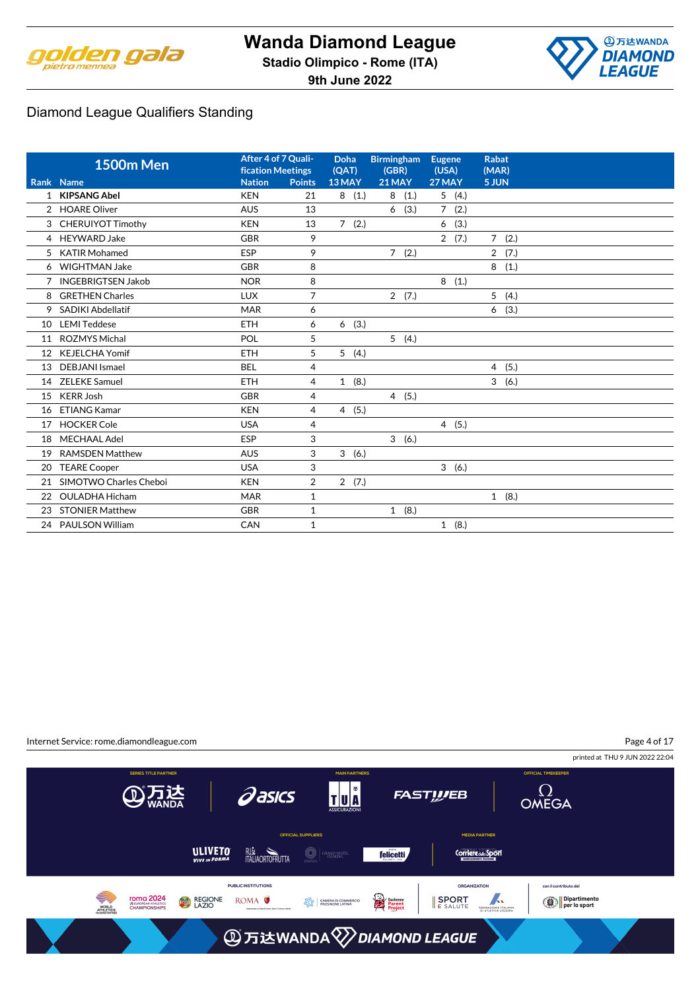

**4万达WANDA DIAMOND LEAGUE** 

**9th June 2022**

# Diamond League Qualifiers Standing

|    | <b>1500m Men</b>          | After 4 of 7 Quali-<br><b>fication Meetings</b> |                | Doha<br>(QAT) | <b>Birmingham</b><br>(GBR) | <b>Eugene</b><br>(USA) | <b>Rabat</b><br>(MAR)  |
|----|---------------------------|-------------------------------------------------|----------------|---------------|----------------------------|------------------------|------------------------|
|    | Rank Name                 | <b>Nation</b>                                   | <b>Points</b>  | 13 MAY        | 21 MAY                     | 27 MAY                 | 5 JUN                  |
|    | 1 KIPSANG Abel            | <b>KEN</b>                                      | 21             | (1.)<br>8     | 8<br>(1.)                  | 5(4.)                  |                        |
| 2  | <b>HOARE Oliver</b>       | <b>AUS</b>                                      | 13             |               | (3.)<br>6                  | $7^{\circ}$<br>(2.)    |                        |
|    | 3 CHERUIYOT Timothy       | <b>KEN</b>                                      | 13             | 7(2.)         |                            | (3.)<br>6              |                        |
|    | 4 HEYWARD Jake            | <b>GBR</b>                                      | 9              |               |                            | 2(7.)                  | $7^{\circ}$<br>(2.)    |
| 5  | <b>KATIR Mohamed</b>      | <b>ESP</b>                                      | 9              |               | (2.)<br>$7^{\circ}$        |                        | $\overline{2}$<br>(7.) |
|    | 6 WIGHTMAN Jake           | <b>GBR</b>                                      | 8              |               |                            |                        | 8<br>(1.)              |
| 7  | <b>INGEBRIGTSEN Jakob</b> | <b>NOR</b>                                      | 8              |               |                            | 8(1.)                  |                        |
| 8  | <b>GRETHEN Charles</b>    | <b>LUX</b>                                      | $\overline{7}$ |               | 2(7.)                      |                        | 5<br>(4.)              |
| 9  | <b>SADIKI Abdellatif</b>  | <b>MAR</b>                                      | 6              |               |                            |                        | (3.)<br>6              |
| 10 | <b>LEMI Teddese</b>       | <b>ETH</b>                                      | 6              | (3.)<br>6     |                            |                        |                        |
| 11 | <b>ROZMYS Michal</b>      | POL                                             | 5              |               | 5(4.)                      |                        |                        |
| 12 | <b>KEJELCHA Yomif</b>     | <b>ETH</b>                                      | 5              | 5(4.)         |                            |                        |                        |
| 13 | <b>DEBJANI</b> Ismael     | <b>BEL</b>                                      | $\overline{4}$ |               |                            |                        | (5.)<br>$\overline{4}$ |
| 14 | <b>ZELEKE Samuel</b>      | <b>ETH</b>                                      | 4              | 1(8.)         |                            |                        | 3<br>(6.)              |
| 15 | <b>KERR Josh</b>          | <b>GBR</b>                                      | $\overline{4}$ |               | 4(5.)                      |                        |                        |
| 16 | <b>ETIANG Kamar</b>       | <b>KEN</b>                                      | $\overline{4}$ | 4(5.)         |                            |                        |                        |
| 17 | <b>HOCKER Cole</b>        | <b>USA</b>                                      | 4              |               |                            | 4(5.)                  |                        |
| 18 | <b>MECHAAL Adel</b>       | ESP                                             | 3              |               | 3(6.)                      |                        |                        |
| 19 | <b>RAMSDEN Matthew</b>    | <b>AUS</b>                                      | 3              | 3(6.)         |                            |                        |                        |
| 20 | <b>TEARE Cooper</b>       | <b>USA</b>                                      | 3              |               |                            | 3<br>(6.)              |                        |
| 21 | SIMOTWO Charles Cheboi    | <b>KEN</b>                                      | 2              | 2(7.)         |                            |                        |                        |
| 22 | <b>OULADHA Hicham</b>     | <b>MAR</b>                                      | $\mathbf{1}$   |               |                            |                        | 1(8.)                  |
| 23 | <b>STONIER Matthew</b>    | <b>GBR</b>                                      | 1              |               | 1(8.)                      |                        |                        |
|    | 24 PAULSON William        | CAN                                             | $\mathbf{1}$   |               |                            | 1(8.)                  |                        |

Page 4 of 17Internet Service: rome.diamondleague.com printed at THU 9 JUN 2022 22:04 TU<sup>N</sup>  $\Omega$ OMEGA **Pasics ATE FASTWEB MEDIA PARTNER** ULIVETO **RUM**<br>ITALIAORTOFRUTTA  $\bigcirc \mid$ grand hotel **felicetti Corriere del Sport** PUBLIC INSTITUTIONS ORGANIZATION con il contributo del **TOMA 2024**<br>
SEUROPEAN ATHLETICS<br>
CHAMPIONSHIPS Dipartimento<br>Pler lo sport Ş FEDERAZIONE ITALIANA ROMA<sup>O</sup> SPORT REGIONE Duchenne<br>Parent<br>Project  $\left|\frac{\partial \mathcal{R}_0}{\partial \mathcal{R}_0}\right|$  CAMERA DI COMME WORLD<br>ATHLETICS **③万达WANDA**<sup>√</sup>DIAMOND LEAGUE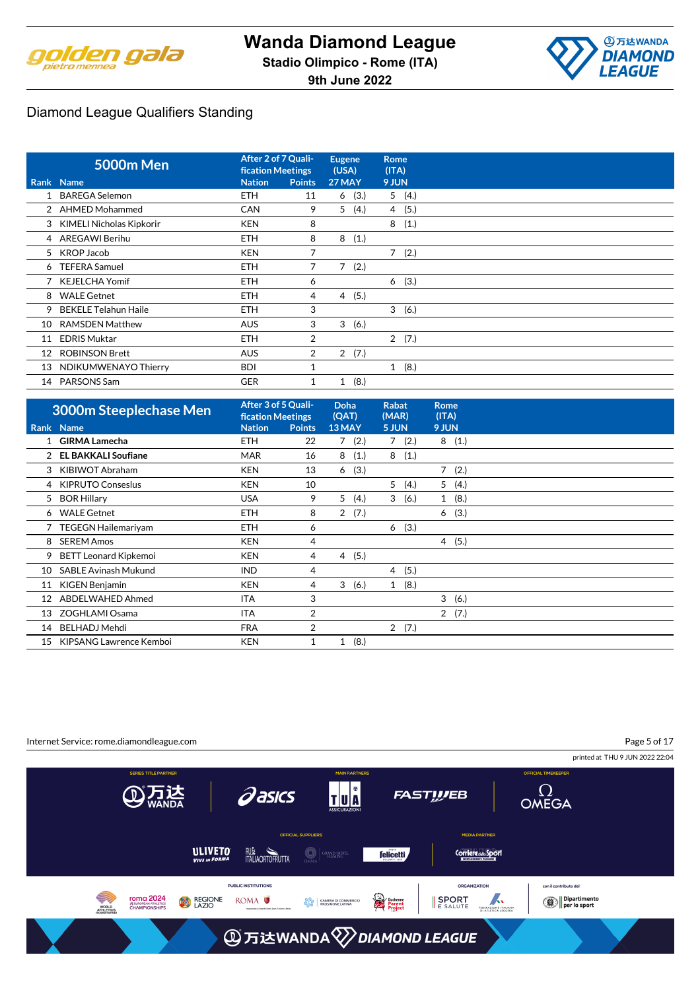



|    | <b>5000m Men</b>           | After 2 of 7 Quali-<br><b>fication Meetings</b> |                | <b>Eugene</b><br>(USA) | Rome<br>(ITA) |
|----|----------------------------|-------------------------------------------------|----------------|------------------------|---------------|
|    | Rank Name                  | <b>Nation</b>                                   | <b>Points</b>  | <b>27 MAY</b>          | 9 JUN         |
|    | 1 BAREGA Selemon           | <b>ETH</b>                                      | 11             | 6(3.)                  | 5(4.)         |
|    | 2 AHMED Mohammed           | <b>CAN</b>                                      | 9              | 5<br>(4.)              | 4(5.)         |
|    | 3 KIMELI Nicholas Kipkorir | <b>KEN</b>                                      | 8              |                        | 8<br>(1.)     |
|    | 4 AREGAWI Berihu           | <b>ETH</b>                                      | 8              | 8<br>(1.)              |               |
|    | 5 KROP Jacob               | <b>KEN</b>                                      | 7              |                        | 7(2.)         |
|    | 6 TEFERA Samuel            | <b>ETH</b>                                      | 7              | 7(2.)                  |               |
|    | 7 KEJELCHA Yomif           | <b>ETH</b>                                      | 6              |                        | (3.)<br>6     |
|    | 8 WALE Getnet              | <b>ETH</b>                                      | 4              | (5.)<br>4              |               |
|    | 9 BEKELE Telahun Haile     | <b>ETH</b>                                      | 3              |                        | 3(6.)         |
| 10 | <b>RAMSDEN Matthew</b>     | <b>AUS</b>                                      | 3              | 3<br>(6.)              |               |
| 11 | <b>EDRIS Muktar</b>        | <b>ETH</b>                                      | $\overline{2}$ |                        | 2(7.)         |
| 12 | <b>ROBINSON Brett</b>      | <b>AUS</b>                                      | $\overline{2}$ | 2(7.)                  |               |
|    | 13 NDIKUMWENAYO Thierry    | <b>BDI</b>                                      |                |                        | 1(8.)         |
| 14 | PARSONS Sam                | <b>GER</b>                                      |                | (8.)<br>1              |               |

|    | 3000m Steeplechase Men       | After 3 of 5 Quali-<br><b>fication Meetings</b> |               | <b>Doha</b><br>(QAT) | <b>Rabat</b><br>(MAR) | <b>Rome</b><br>(ITA)   |  |
|----|------------------------------|-------------------------------------------------|---------------|----------------------|-----------------------|------------------------|--|
|    | Rank Name                    | <b>Nation</b>                                   | <b>Points</b> | 13 MAY               | 5 JUN                 | 9 JUN                  |  |
|    | 1 GIRMA Lamecha              | <b>ETH</b>                                      | 22            | 7(2.)                | (2.)<br>7             | 8(1.)                  |  |
| 2  | <b>EL BAKKALI Soufiane</b>   | <b>MAR</b>                                      | 16            | (1.)<br>8            | 8<br>(1.)             |                        |  |
| 3  | KIBIWOT Abraham              | <b>KEN</b>                                      | 13            | (3.)<br>6            |                       | $\overline{7}$<br>(2.) |  |
| 4  | <b>KIPRUTO Conseslus</b>     | <b>KEN</b>                                      | 10            |                      | 5<br>(4.)             | 5<br>(4.)              |  |
| 5  | <b>BOR Hillary</b>           | <b>USA</b>                                      | 9             | 5<br>(4.)            | 3<br>(6.)             | 1(8.)                  |  |
|    | 6 WALE Getnet                | <b>ETH</b>                                      | 8             | 2(7.)                |                       | 6(3.)                  |  |
|    | 7 TEGEGN Hailemariyam        | <b>ETH</b>                                      | 6             |                      | 6(3.)                 |                        |  |
| 8  | <b>SEREM Amos</b>            | <b>KEN</b>                                      | 4             |                      |                       | 4(5.)                  |  |
| 9  | <b>BETT Leonard Kipkemoi</b> | <b>KEN</b>                                      | 4             | 4(5.)                |                       |                        |  |
| 10 | <b>SABLE Avinash Mukund</b>  | <b>IND</b>                                      | 4             |                      | 4(5.)                 |                        |  |
| 11 | KIGEN Benjamin               | <b>KEN</b>                                      | 4             | 3<br>(6.)            | 1(8.)                 |                        |  |
| 12 | ABDELWAHED Ahmed             | <b>ITA</b>                                      | 3             |                      |                       | 3<br>(6.)              |  |
| 13 | ZOGHLAMI Osama               | ITA                                             | 2             |                      |                       | 2(7.)                  |  |
| 14 | <b>BELHADJ Mehdi</b>         | <b>FRA</b>                                      | 2             |                      | 2(7.)                 |                        |  |
| 15 | KIPSANG Lawrence Kemboi      | <b>KEN</b>                                      | 1             | (8.)<br>$\mathbf{1}$ |                       |                        |  |

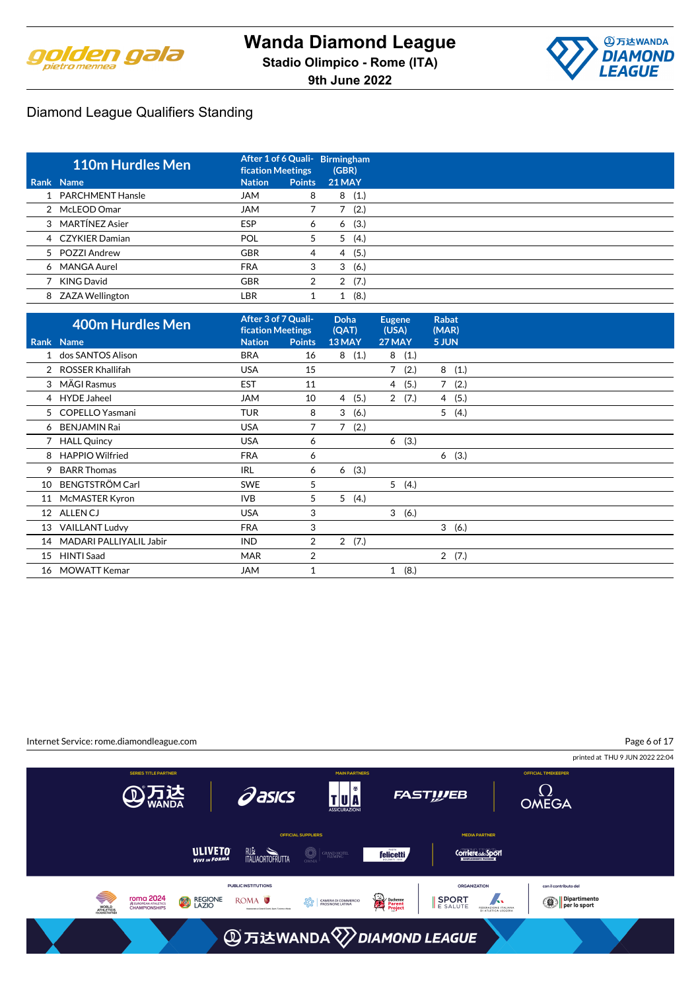



| <b>110m Hurdles Men</b> | <b>fication Meetings</b> |               | After 1 of 6 Quali- Birmingham<br>(GBR) |
|-------------------------|--------------------------|---------------|-----------------------------------------|
| Rank Name               | <b>Nation</b>            | <b>Points</b> | <b>21 MAY</b>                           |
| 1 PARCHMENT Hansle      | <b>JAM</b>               | 8             | (1.)<br>8                               |
| 2 McLEOD Omar           | <b>JAM</b>               |               | (2.)                                    |
| 3 MARTÍNEZ Asier        | <b>ESP</b>               | 6             | (3.)<br>6                               |
| 4 CZYKIER Damian        | <b>POL</b>               | 5             | (4.)<br>5                               |
| 5 POZZI Andrew          | <b>GBR</b>               | 4             | (5.)<br>4                               |
| 6 MANGA Aurel           | <b>FRA</b>               | 3             | (6.)<br>3                               |
| 7 KING David            | <b>GBR</b>               | 2             | (7.)<br>2                               |
| 8 ZAZA Wellington       | LBR                      |               | (8.)                                    |

|                   | 400m Hurdles Men        | After 3 of 7 Quali-<br><b>fication Meetings</b> |                | Doha<br>(QAT)          | <b>Eugene</b><br>(USA) |       | <b>Rabat</b><br>(MAR) |  |
|-------------------|-------------------------|-------------------------------------------------|----------------|------------------------|------------------------|-------|-----------------------|--|
|                   | Rank Name               | <b>Nation</b>                                   | <b>Points</b>  | 13 MAY                 | 27 MAY                 |       | 5 JUN                 |  |
|                   | 1 dos SANTOS Alison     | <b>BRA</b>                                      | 16             | 8(1.)                  |                        | 8(1.) |                       |  |
|                   | 2 ROSSER Khallifah      | <b>USA</b>                                      | 15             |                        | $\overline{7}$         | (2.)  | 8<br>(1.)             |  |
|                   | 3 MÄGI Rasmus           | <b>EST</b>                                      | 11             |                        | 4                      | (5.)  | $7^{\circ}$<br>(2.)   |  |
|                   | 4 HYDE Jaheel           | <b>JAM</b>                                      | 10             | (5.)<br>4              | $\mathbf{2}$           | (7.)  | (5.)<br>4             |  |
|                   | 5 COPELLO Yasmani       | <b>TUR</b>                                      | 8              | 3<br>(6.)              |                        |       | 5(4.)                 |  |
|                   | 6 BENJAMIN Rai          | <b>USA</b>                                      | 7              | (2.)<br>$\overline{7}$ |                        |       |                       |  |
| 7                 | <b>HALL Quincy</b>      | <b>USA</b>                                      | 6              |                        | 6                      | (3.)  |                       |  |
| 8                 | <b>HAPPIO Wilfried</b>  | <b>FRA</b>                                      | 6              |                        |                        |       | (3.)<br>6             |  |
| 9                 | <b>BARR Thomas</b>      | <b>IRL</b>                                      | 6              | (3.)<br>6              |                        |       |                       |  |
| 10                | <b>BENGTSTRÖM Carl</b>  | <b>SWE</b>                                      | 5              |                        |                        | 5(4.) |                       |  |
| 11                | McMASTER Kyron          | <b>IVB</b>                                      | 5              | 5<br>(4.)              |                        |       |                       |  |
| $12 \overline{ }$ | <b>ALLENCJ</b>          | <b>USA</b>                                      | 3              |                        | 3                      | (6.)  |                       |  |
| 13                | <b>VAILLANT Ludvy</b>   | <b>FRA</b>                                      | 3              |                        |                        |       | 3<br>(6.)             |  |
| 14                | MADARI PALLIYALIL Jabir | <b>IND</b>                                      | $\overline{2}$ | $\overline{2}$<br>(7.) |                        |       |                       |  |
| 15                | <b>HINTI Saad</b>       | <b>MAR</b>                                      | $\overline{2}$ |                        |                        |       | 2(7.)                 |  |
| 16                | <b>MOWATT Kemar</b>     | <b>JAM</b>                                      |                |                        |                        | 1(8.) |                       |  |

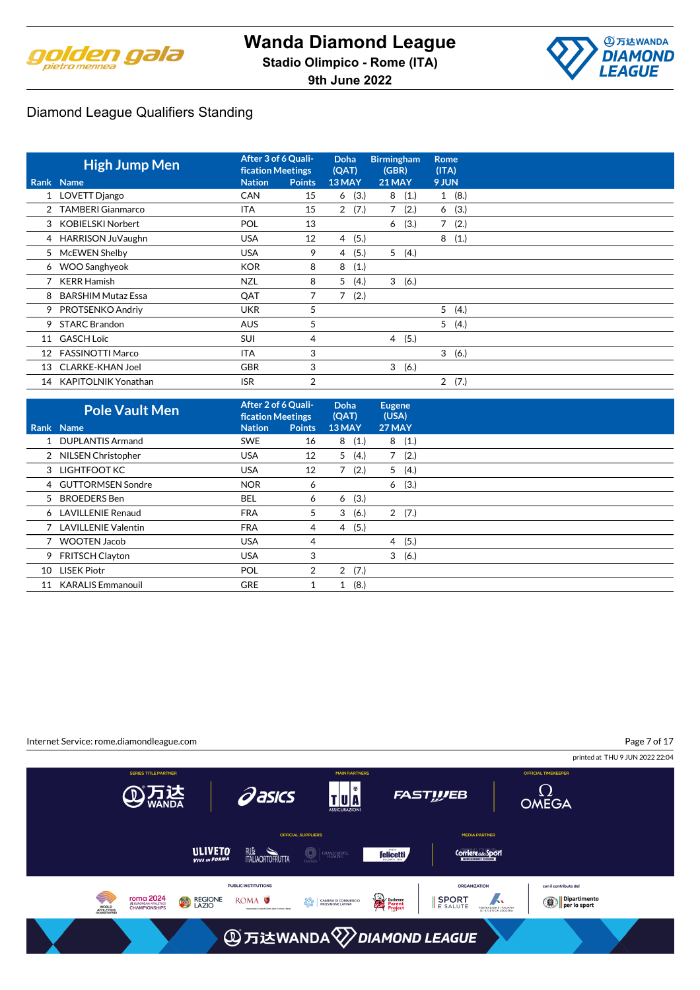



|                 | <b>High Jump Men</b>       | After 3 of 6 Quali-<br><b>fication Meetings</b> |                | Doha<br>(QAT) | <b>Birmingham</b><br>(GBR) | <b>Rome</b><br>(ITA)   |
|-----------------|----------------------------|-------------------------------------------------|----------------|---------------|----------------------------|------------------------|
|                 | Rank Name                  | <b>Nation</b>                                   | <b>Points</b>  | 13 MAY        | 21 MAY                     | 9 JUN                  |
|                 | 1 LOVETT Django            | <b>CAN</b>                                      | 15             | (3.)<br>6     | 8<br>(1.)                  | 1(8.)                  |
|                 | 2 TAMBERI Gianmarco        | <b>ITA</b>                                      | 15             | (7.)<br>2     | (2.)<br>7                  | (3.)<br>6              |
|                 | <b>KOBIELSKI Norbert</b>   | POL                                             | 13             |               | (3.)<br>6                  | 7<br>(2.)              |
|                 | 4 HARRISON JuVaughn        | <b>USA</b>                                      | 12             | (5.)<br>4     |                            | 8<br>(1.)              |
| 5               | McEWEN Shelby              | <b>USA</b>                                      | 9              | (5.)<br>4     | 5(4.)                      |                        |
|                 | 6 WOO Sanghyeok            | <b>KOR</b>                                      | 8              | (1.)<br>8     |                            |                        |
|                 | <b>KERR Hamish</b>         | <b>NZL</b>                                      | 8              | 5<br>(4.)     | 3(6.)                      |                        |
| 8               | <b>BARSHIM Mutaz Essa</b>  | QAT                                             | 7              | 7<br>(2.)     |                            |                        |
| 9               | PROTSENKO Andriy           | <b>UKR</b>                                      | 5              |               |                            | 5(4.)                  |
| 9               | <b>STARC Brandon</b>       | <b>AUS</b>                                      | 5              |               |                            | 5(4.)                  |
|                 | 11 GASCH Loïc              | <b>SUI</b>                                      | 4              |               | 4(5.)                      |                        |
| 12 <sup>°</sup> | <b>FASSINOTTI Marco</b>    | <b>ITA</b>                                      | 3              |               |                            | 3(6.)                  |
| 13              | <b>CLARKE-KHAN Joel</b>    | <b>GBR</b>                                      | 3              |               | 3(6.)                      |                        |
| 14              | <b>KAPITOLNIK Yonathan</b> | <b>ISR</b>                                      | $\overline{2}$ |               |                            | $\overline{2}$<br>(7.) |

| Rank Name<br><b>Nation</b><br><b>Points</b><br>13 MAY<br>27 MAY<br>1 DUPLANTIS Armand<br>8(1.)<br>8(1.)<br><b>SWE</b><br>16<br>5(4.)<br>(2.)<br><b>USA</b><br>12<br>$7^{\circ}$<br>2 NILSEN Christopher<br>7(2.)<br>3 LIGHTFOOT KC<br>5(4.)<br><b>USA</b><br>12<br>(3.)<br>4 GUTTORMSEN Sondre<br><b>NOR</b><br>6<br>6<br>(3.)<br>5 BROEDERS Ben<br><b>BEL</b><br>6<br>6<br>3<br>(6.)<br>2(7.)<br>6 LAVILLENIE Renaud<br><b>FRA</b><br>5<br>(5.)<br>7 LAVILLENIE Valentin<br><b>FRA</b><br>$\overline{4}$<br>4<br>(5.)<br>7 WOOTEN Jacob<br><b>USA</b><br>$\overline{4}$<br>4<br>3<br>3(6.)<br><b>USA</b><br>9 FRITSCH Clayton<br>2(7.)<br><b>LISEK Piotr</b><br>POL<br>$\overline{2}$<br>10<br>(8.)<br><b>GRE</b><br>11 KARALIS Emmanouil<br>1 | <b>Pole Vault Men</b> | After 2 of 6 Quali-<br><b>fication Meetings</b> | <b>Doha</b><br>(QAT) | <b>Eugene</b><br>(USA) |  |
|-------------------------------------------------------------------------------------------------------------------------------------------------------------------------------------------------------------------------------------------------------------------------------------------------------------------------------------------------------------------------------------------------------------------------------------------------------------------------------------------------------------------------------------------------------------------------------------------------------------------------------------------------------------------------------------------------------------------------------------------------|-----------------------|-------------------------------------------------|----------------------|------------------------|--|
|                                                                                                                                                                                                                                                                                                                                                                                                                                                                                                                                                                                                                                                                                                                                                 |                       |                                                 |                      |                        |  |
|                                                                                                                                                                                                                                                                                                                                                                                                                                                                                                                                                                                                                                                                                                                                                 |                       |                                                 |                      |                        |  |
|                                                                                                                                                                                                                                                                                                                                                                                                                                                                                                                                                                                                                                                                                                                                                 |                       |                                                 |                      |                        |  |
|                                                                                                                                                                                                                                                                                                                                                                                                                                                                                                                                                                                                                                                                                                                                                 |                       |                                                 |                      |                        |  |
|                                                                                                                                                                                                                                                                                                                                                                                                                                                                                                                                                                                                                                                                                                                                                 |                       |                                                 |                      |                        |  |
|                                                                                                                                                                                                                                                                                                                                                                                                                                                                                                                                                                                                                                                                                                                                                 |                       |                                                 |                      |                        |  |
|                                                                                                                                                                                                                                                                                                                                                                                                                                                                                                                                                                                                                                                                                                                                                 |                       |                                                 |                      |                        |  |
|                                                                                                                                                                                                                                                                                                                                                                                                                                                                                                                                                                                                                                                                                                                                                 |                       |                                                 |                      |                        |  |
|                                                                                                                                                                                                                                                                                                                                                                                                                                                                                                                                                                                                                                                                                                                                                 |                       |                                                 |                      |                        |  |
|                                                                                                                                                                                                                                                                                                                                                                                                                                                                                                                                                                                                                                                                                                                                                 |                       |                                                 |                      |                        |  |
|                                                                                                                                                                                                                                                                                                                                                                                                                                                                                                                                                                                                                                                                                                                                                 |                       |                                                 |                      |                        |  |
|                                                                                                                                                                                                                                                                                                                                                                                                                                                                                                                                                                                                                                                                                                                                                 |                       |                                                 |                      |                        |  |

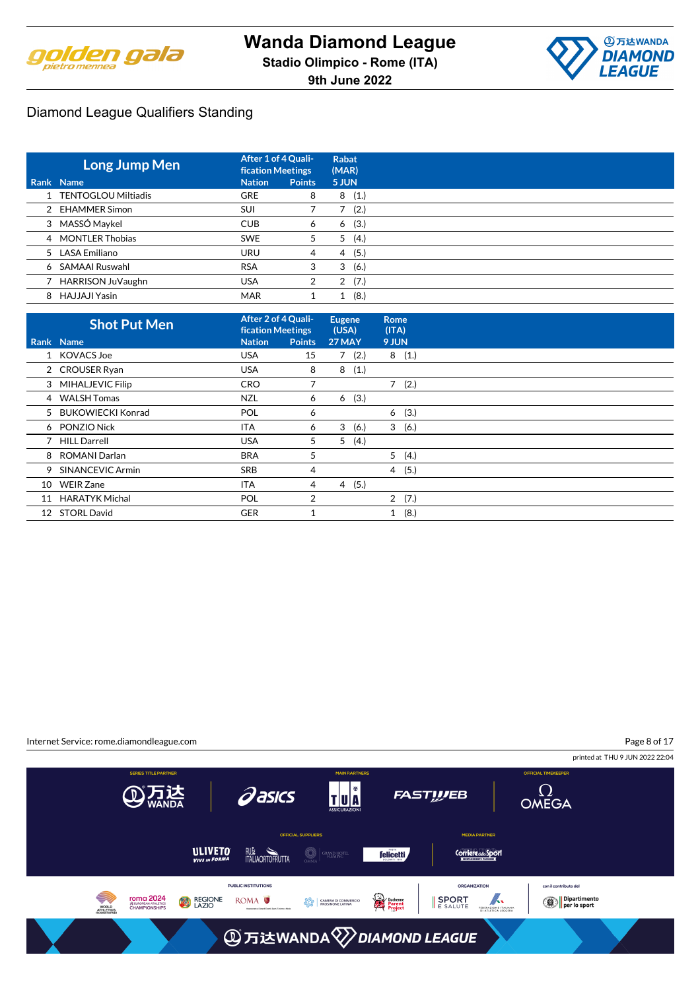



| Long Jump Men         | After 1 of 4 Quali-<br><b>fication Meetings</b> |               | <b>Rabat</b><br>(MAR) |
|-----------------------|-------------------------------------------------|---------------|-----------------------|
| Rank Name             | <b>Nation</b>                                   | <b>Points</b> | 5 JUN                 |
| 1 TENTOGLOU Miltiadis | <b>GRE</b>                                      | 8             | (1.)<br>8             |
| 2 EHAMMER Simon       | <b>SUI</b>                                      |               | (2.)                  |
| 3 MASSÓ Maykel        | <b>CUB</b>                                      | 6             | (3.)<br>6             |
| 4 MONTLER Thobias     | <b>SWE</b>                                      | 5             | (4.)<br>5             |
| 5 LASA Emiliano       | <b>URU</b>                                      | 4             | (5.)<br>4             |
| 6 SAMAAI Ruswahl      | <b>RSA</b>                                      | 3             | (6.)<br>3             |
| HARRISON JuVaughn     | <b>USA</b>                                      | 2             | (7.)<br>2             |
| 8 HAJJAJI Yasin       | <b>MAR</b>                                      |               | (8.)                  |

|    | <b>Shot Put Men</b>   | After 2 of 4 Quali-<br><b>fication Meetings</b> |                | <b>Eugene</b><br>(USA) | <b>Rome</b><br>(ITA) |       |  |
|----|-----------------------|-------------------------------------------------|----------------|------------------------|----------------------|-------|--|
|    | Rank Name             | <b>Nation</b>                                   | <b>Points</b>  | <b>27 MAY</b>          | 9 JUN                |       |  |
|    | 1 KOVACS Joe          | <b>USA</b>                                      | 15             | 7(2.)                  |                      | 8(1.) |  |
|    | 2 CROUSER Ryan        | <b>USA</b>                                      | 8              | 8<br>(1.)              |                      |       |  |
|    | 3 MIHALJEVIC Filip    | <b>CRO</b>                                      |                |                        |                      | 7(2.) |  |
|    | 4 WALSH Tomas         | <b>NZL</b>                                      | 6              | (3.)<br>6              |                      |       |  |
|    | 5 BUKOWIECKI Konrad   | POL                                             | 6              |                        | 6                    | (3.)  |  |
|    | 6 PONZIO Nick         | ITA                                             | 6              | 3<br>(6.)              | 3                    | (6.)  |  |
|    | 7 HILL Darrell        | <b>USA</b>                                      | 5              | 5<br>(4.)              |                      |       |  |
|    | 8 ROMANI Darlan       | <b>BRA</b>                                      | 5              |                        |                      | 5(4.) |  |
|    | 9 SINANCEVIC Armin    | <b>SRB</b>                                      | 4              |                        |                      | 4(5.) |  |
| 10 | <b>WEIR Zane</b>      | <b>ITA</b>                                      | 4              | 4(5.)                  |                      |       |  |
| 11 | <b>HARATYK Michal</b> | POL                                             | $\overline{2}$ |                        |                      | 2(7.) |  |
|    | 12 STORL David        | <b>GER</b>                                      |                |                        | $\mathbf{1}$         | (8.)  |  |

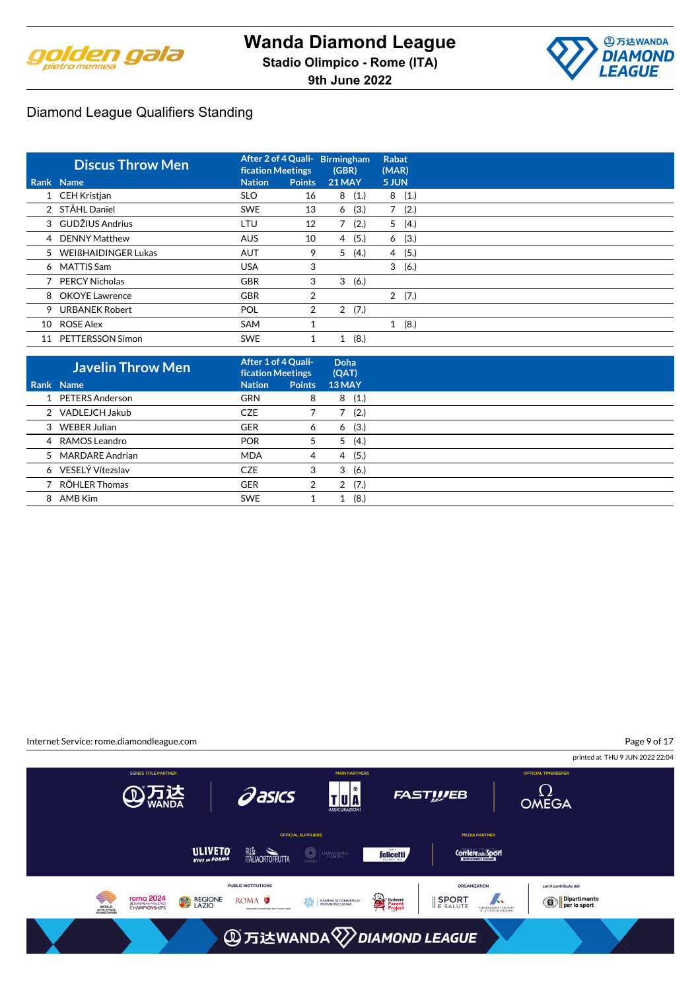



|    | <b>Discus Throw Men</b> | <b>fication Meetings</b> |               | After 2 of 4 Quali- Birmingham<br>(GBR) | (MAR)        | <b>Rabat</b> |
|----|-------------------------|--------------------------|---------------|-----------------------------------------|--------------|--------------|
|    | Rank Name               | <b>Nation</b>            | <b>Points</b> | <b>21 MAY</b>                           | 5 JUN        |              |
|    | 1 CEH Kristjan          | <b>SLO</b>               | 16            | (1.)<br>8                               | 8            | (1.)         |
|    | 2 STÅHL Daniel          | <b>SWE</b>               | 13            | (3.)<br>6                               | 7            | (2.)         |
|    | 3 GUDŽIUS Andrius       | LTU                      | 12            | 7<br>(2.)                               | 5            | (4.)         |
|    | 4 DENNY Matthew         | <b>AUS</b>               | 10            | (5.)<br>4                               |              | 6(3.)        |
|    | 5 WEIßHAIDINGER Lukas   | <b>AUT</b>               | 9             | 5<br>(4.)                               |              | 4 (5.)       |
|    | 6 MATTIS Sam            | <b>USA</b>               | 3             |                                         | 3            | (6.)         |
|    | <b>PERCY Nicholas</b>   | <b>GBR</b>               | 3             | 3<br>(6.)                               |              |              |
|    | 8 OKOYE Lawrence        | <b>GBR</b>               | 2             |                                         |              | 2(7.)        |
| 9  | <b>URBANEK Robert</b>   | POL                      | 2             | 2(7.)                                   |              |              |
| 10 | <b>ROSE Alex</b>        | SAM                      |               |                                         | $\mathbf{1}$ | (8.)         |
| 11 | PETTERSSON Simon        | <b>SWE</b>               |               | (8.)<br>1                               |              |              |

| <b>Javelin Throw Men</b> |               | After 1 of 4 Quali-<br><b>fication Meetings</b> |                        |
|--------------------------|---------------|-------------------------------------------------|------------------------|
| Rank Name                | <b>Nation</b> | <b>Points</b>                                   | 13 MAY                 |
| 1 PETERS Anderson        | <b>GRN</b>    | 8                                               | (1.)<br>8              |
| 2 VADLEJCH Jakub         | <b>CZE</b>    |                                                 | (2.)                   |
| 3 WEBER Julian           | <b>GER</b>    | 6                                               | (3.)<br>6              |
| 4 RAMOS Leandro          | <b>POR</b>    | 5                                               | (4.)<br>5              |
| 5 MARDARE Andrian        | <b>MDA</b>    | 4                                               | (5.)<br>$\overline{4}$ |
| 6 VESELÝ Vítezslav       | <b>CZE</b>    | 3                                               | (6.)<br>3              |
| 7 RÖHLER Thomas          | <b>GER</b>    | 2                                               | (7.)<br>2              |
| 8 AMB Kim                | <b>SWE</b>    |                                                 | (8.)                   |

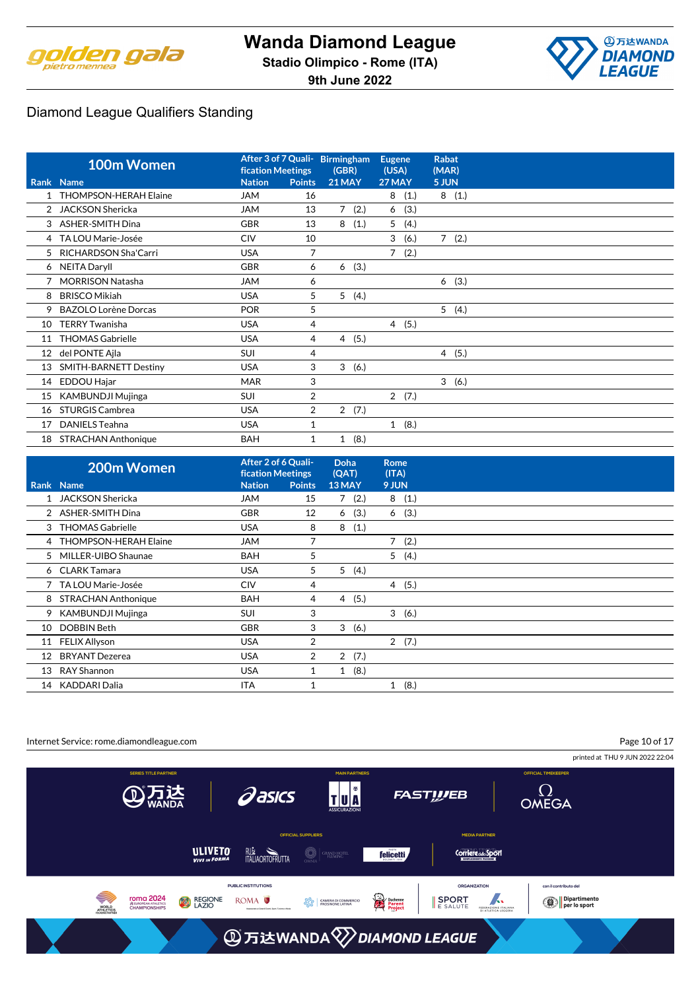



|    | 100m Women                  | <b>fication Meetings</b> |                | After 3 of 7 Quali- Birmingham<br>(GBR) | <b>Eugene</b><br>(USA) | <b>Rabat</b><br>(MAR) |
|----|-----------------------------|--------------------------|----------------|-----------------------------------------|------------------------|-----------------------|
|    | Rank Name                   | <b>Nation</b>            | <b>Points</b>  | <b>21 MAY</b>                           | 27 MAY                 | 5 JUN                 |
|    | THOMPSON-HERAH Elaine       | JAM                      | 16             |                                         | 8<br>(1.)              | 8(1.)                 |
|    | <b>JACKSON Shericka</b>     | <b>JAM</b>               | 13             | 7<br>(2.)                               | (3.)<br>6              |                       |
| 3  | <b>ASHER-SMITH Dina</b>     | <b>GBR</b>               | 13             | (1.)<br>8                               | (4.)<br>5              |                       |
|    | 4 TA LOU Marie-Josée        | <b>CIV</b>               | 10             |                                         | 3<br>(6.)              | $7^{\circ}$<br>(2.)   |
| 5. | <b>RICHARDSON Sha'Carri</b> | <b>USA</b>               | $\overline{7}$ |                                         | 7<br>(2.)              |                       |
|    | 6 NEITA Daryll              | <b>GBR</b>               | 6              | (3.)<br>6                               |                        |                       |
|    | <b>MORRISON Natasha</b>     | <b>JAM</b>               | 6              |                                         |                        | (3.)<br>6             |
| 8  | <b>BRISCO Mikiah</b>        | <b>USA</b>               | 5              | 5<br>(4.)                               |                        |                       |
| 9  | <b>BAZOLO Lorène Dorcas</b> | <b>POR</b>               | 5              |                                         |                        | 5<br>(4.)             |
| 10 | <b>TERRY Twanisha</b>       | <b>USA</b>               | 4              |                                         | 4(5.)                  |                       |
| 11 | <b>THOMAS Gabrielle</b>     | <b>USA</b>               | 4              | 4(5.)                                   |                        |                       |
| 12 | del PONTE Ajla              | <b>SUI</b>               | 4              |                                         |                        | 4(5.)                 |
| 13 | SMITH-BARNETT Destiny       | <b>USA</b>               | 3              | 3<br>(6.)                               |                        |                       |
| 14 | EDDOU Hajar                 | <b>MAR</b>               | 3              |                                         |                        | 3<br>(6.)             |
| 15 | <b>KAMBUNDJI Mujinga</b>    | SUI                      | 2              |                                         | 2(7.)                  |                       |
| 16 | <b>STURGIS Cambrea</b>      | <b>USA</b>               | $\overline{2}$ | $\overline{2}$<br>(7.)                  |                        |                       |
| 17 | <b>DANIELS Teahna</b>       | <b>USA</b>               | 1              |                                         | 1(8.)                  |                       |
| 18 | <b>STRACHAN Anthonique</b>  | <b>BAH</b>               | 1              | (8.)<br>1                               |                        |                       |

|    | 200m Women              | After 2 of 6 Quali-<br><b>fication Meetings</b> |                | <b>Doha</b><br>(QAT) | <b>Rome</b><br>(ITA) |
|----|-------------------------|-------------------------------------------------|----------------|----------------------|----------------------|
|    | Rank Name               | <b>Nation</b>                                   | <b>Points</b>  | 13 MAY               | 9 JUN                |
|    | 1 JACKSON Shericka      | JAM                                             | 15             | 7(2.)                | 8(1.)                |
|    | 2 ASHER-SMITH Dina      | <b>GBR</b>                                      | 12             | (3.)<br>6            | (3.)<br>6            |
|    | 3 THOMAS Gabrielle      | <b>USA</b>                                      | 8              | (1.)<br>8            |                      |
|    | 4 THOMPSON-HERAH Elaine | <b>JAM</b>                                      | 7              |                      | 7<br>(2.)            |
|    | 5 MILLER-UIBO Shaunae   | <b>BAH</b>                                      | 5              |                      | 5(4.)                |
|    | 6 CLARK Tamara          | <b>USA</b>                                      | 5              | 5(4.)                |                      |
|    | 7 TA LOU Marie-Josée    | <b>CIV</b>                                      | 4              |                      | 4(5.)                |
| 8  | STRACHAN Anthonique     | <b>BAH</b>                                      | 4              | 4(5.)                |                      |
|    | 9 KAMBUNDJI Mujinga     | <b>SUI</b>                                      | 3              |                      | 3(6.)                |
| 10 | DOBBIN Beth             | <b>GBR</b>                                      | 3              | 3<br>(6.)            |                      |
|    | 11 FELIX Allyson        | <b>USA</b>                                      | 2              |                      | 2(7.)                |
| 12 | <b>BRYANT Dezerea</b>   | <b>USA</b>                                      | $\overline{2}$ | 2<br>(7.)            |                      |
| 13 | RAY Shannon             | <b>USA</b>                                      |                | (8.)<br>$\mathbf{1}$ |                      |
| 14 | KADDARI Dalia           | <b>ITA</b>                                      |                |                      | (8.)<br>1            |

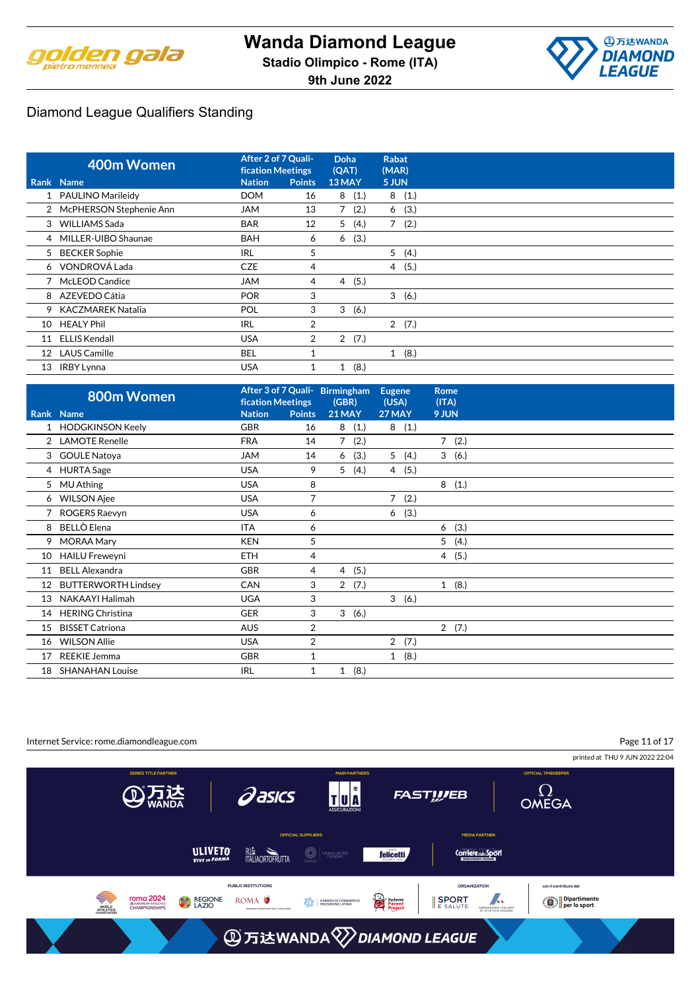



|                 | 400m Women                |               | After 2 of 7 Quali-<br><b>fication Meetings</b> |                        | Rabat<br>(MAR)         |  |
|-----------------|---------------------------|---------------|-------------------------------------------------|------------------------|------------------------|--|
|                 | Rank Name                 | <b>Nation</b> | <b>Points</b>                                   | 13 MAY                 | 5 JUN                  |  |
|                 | 1 PAULINO Marileidy       | <b>DOM</b>    | 16                                              | (1.)<br>8              | 8<br>(1.)              |  |
|                 | 2 McPHERSON Stephenie Ann | JAM           | 13                                              | 7<br>(2.)              | (3.)<br>6              |  |
|                 | 3 WILLIAMS Sada           | <b>BAR</b>    | 12                                              | 5<br>(4.)              | $\overline{7}$<br>(2.) |  |
|                 | 4 MILLER-UIBO Shaunae     | <b>BAH</b>    | 6                                               | (3.)<br>6              |                        |  |
|                 | 5 BECKER Sophie           | <b>IRL</b>    | 5                                               |                        | 5(4.)                  |  |
|                 | 6 VONDROVÁ Lada           | <b>CZE</b>    | 4                                               |                        | 4(5.)                  |  |
|                 | 7 McLEOD Candice          | <b>JAM</b>    | 4                                               | (5.)<br>$\overline{4}$ |                        |  |
|                 | 8 AZEVEDO Cátia           | <b>POR</b>    | 3                                               |                        | 3(6.)                  |  |
|                 | 9 KACZMAREK Natalia       | POL           | 3                                               | 3<br>(6.)              |                        |  |
| 10              | <b>HEALY Phil</b>         | <b>IRL</b>    | $\overline{2}$                                  |                        | 2(7.)                  |  |
| 11              | <b>ELLIS Kendall</b>      | <b>USA</b>    | 2                                               | 2(7.)                  |                        |  |
| 12 <sup>°</sup> | <b>LAUS Camille</b>       | <b>BEL</b>    |                                                 |                        | (8.)<br>1              |  |
| 13              | <b>IRBY Lynna</b>         | <b>USA</b>    |                                                 | (8.)<br>1              |                        |  |

|    | 800m Women                 | <b>fication Meetings</b> |                | After 3 of 7 Quali- Birmingham<br>(GBR) | <b>Eugene</b><br>(USA) | <b>Rome</b><br>(ITA) |
|----|----------------------------|--------------------------|----------------|-----------------------------------------|------------------------|----------------------|
|    | Rank Name                  | <b>Nation</b>            | <b>Points</b>  | <b>21 MAY</b>                           | 27 MAY                 | 9 JUN                |
|    | 1 HODGKINSON Keely         | <b>GBR</b>               | 16             | (1.)<br>8                               | 8(1.)                  |                      |
|    | 2 LAMOTE Renelle           | <b>FRA</b>               | 14             | (2.)<br>7                               |                        | 7(2.)                |
|    | 3 GOULE Natoya             | <b>JAM</b>               | 14             | (3.)<br>6                               | 5(4.)                  | 3(6.)                |
|    | 4 HURTA Sage               | <b>USA</b>               | 9              | 5 <sup>1</sup><br>(4.)                  | 4(5.)                  |                      |
| 5  | <b>MU Athing</b>           | <b>USA</b>               | 8              |                                         |                        | 8(1.)                |
|    | 6 WILSON Ajee              | <b>USA</b>               | $\overline{7}$ |                                         | 7<br>(2.)              |                      |
|    | ROGERS Raevyn              | <b>USA</b>               | 6              |                                         | (3.)<br>6              |                      |
| 8  | BELLÒ Elena                | <b>ITA</b>               | 6              |                                         |                        | 6(3.)                |
|    | 9 MORAA Mary               | <b>KEN</b>               | 5              |                                         |                        | 5<br>(4.)            |
| 10 | <b>HAILU Freweyni</b>      | <b>ETH</b>               | 4              |                                         |                        | 4(5.)                |
| 11 | <b>BELL Alexandra</b>      | <b>GBR</b>               | 4              | (5.)<br>$\overline{4}$                  |                        |                      |
| 12 | <b>BUTTERWORTH Lindsey</b> | CAN                      | 3              | 2(7.)                                   |                        | 1(8.)                |
| 13 | NAKAAYI Halimah            | <b>UGA</b>               | 3              |                                         | 3(6.)                  |                      |
| 14 | <b>HERING Christina</b>    | <b>GER</b>               | 3              | 3(6.)                                   |                        |                      |
| 15 | <b>BISSET Catriona</b>     | <b>AUS</b>               | $\overline{2}$ |                                         |                        | 2(7.)                |
| 16 | <b>WILSON Allie</b>        | <b>USA</b>               | $\overline{2}$ |                                         | 2(7.)                  |                      |
| 17 | <b>REEKIE Jemma</b>        | <b>GBR</b>               | $\mathbf{1}$   |                                         | 1(8.)                  |                      |
| 18 | <b>SHANAHAN Louise</b>     | <b>IRL</b>               | 1              | (8.)<br>1                               |                        |                      |

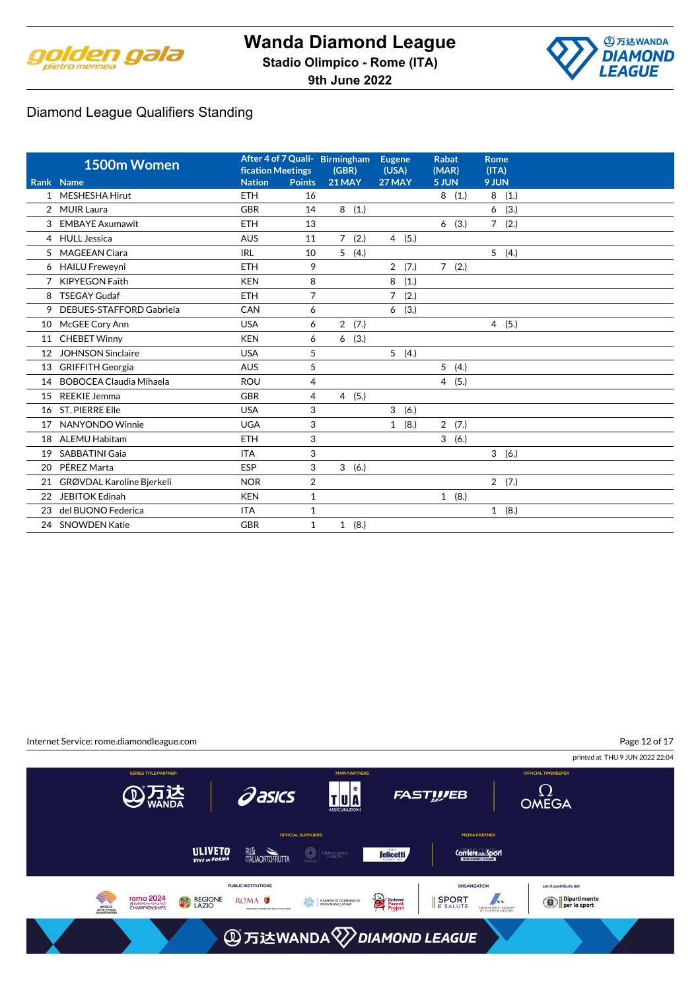



|                | 1500m Women                    | <b>fication Meetings</b> |                | After 4 of 7 Quali- Birmingham<br>(GBR) | <b>Eugene</b><br>(USA) | <b>Rabat</b><br>(MAR) | <b>Rome</b><br>(ITA)   |
|----------------|--------------------------------|--------------------------|----------------|-----------------------------------------|------------------------|-----------------------|------------------------|
|                | Rank Name                      | <b>Nation</b>            | <b>Points</b>  | <b>21 MAY</b>                           | 27 MAY                 | 5 JUN                 | 9 JUN                  |
| $\mathbf{1}$   | <b>MESHESHA Hirut</b>          | <b>ETH</b>               | 16             |                                         |                        | 8(1.)                 | 8<br>(1.)              |
| $\overline{2}$ | <b>MUIR Laura</b>              | <b>GBR</b>               | 14             | 8(1.)                                   |                        |                       | (3.)<br>6              |
| 3              | <b>EMBAYE Axumawit</b>         | <b>ETH</b>               | 13             |                                         |                        | (3.)<br>6             | $7^{\circ}$<br>(2.)    |
|                | 4 HULL Jessica                 | <b>AUS</b>               | 11             | 7(2.)                                   | 4(5.)                  |                       |                        |
| 5              | MAGEEAN Ciara                  | <b>IRL</b>               | 10             | 5(4.)                                   |                        |                       | 5(4.)                  |
|                | 6 HAILU Freweyni               | ETH                      | 9              |                                         | 2(7.)                  | 7(2.)                 |                        |
| 7              | <b>KIPYEGON Faith</b>          | <b>KEN</b>               | 8              |                                         | (1.)<br>8              |                       |                        |
| 8              | <b>TSEGAY Gudaf</b>            | <b>ETH</b>               | $\overline{7}$ |                                         | $\overline{7}$<br>(2.) |                       |                        |
| 9              | DEBUES-STAFFORD Gabriela       | CAN                      | 6              |                                         | (3.)<br>6              |                       |                        |
| 10             | McGEE Cory Ann                 | <b>USA</b>               | 6              | $\overline{2}$<br>(7.)                  |                        |                       | (5.)<br>$\overline{4}$ |
| 11             | <b>CHEBET Winny</b>            | <b>KEN</b>               | 6              | (3.)<br>6                               |                        |                       |                        |
| 12             | <b>JOHNSON Sinclaire</b>       | <b>USA</b>               | 5              |                                         | 5(4.)                  |                       |                        |
| 13             | <b>GRIFFITH Georgia</b>        | <b>AUS</b>               | 5              |                                         |                        | 5<br>(4.)             |                        |
| 14             | <b>BOBOCEA Claudia Mihaela</b> | ROU                      | 4              |                                         |                        | 4(5.)                 |                        |
| 15             | <b>REEKIE Jemma</b>            | <b>GBR</b>               | 4              | 4(5.)                                   |                        |                       |                        |
| 16             | <b>ST. PIERRE Elle</b>         | <b>USA</b>               | 3              |                                         | 3<br>(6.)              |                       |                        |
| 17             | NANYONDO Winnie                | <b>UGA</b>               | 3              |                                         | 1(8.)                  | 2(7.)                 |                        |
| 18             | <b>ALEMU Habitam</b>           | <b>ETH</b>               | 3              |                                         |                        | 3(6.)                 |                        |
| 19             | <b>SABBATINI Gaia</b>          | <b>ITA</b>               | 3              |                                         |                        |                       | 3(6.)                  |
| 20             | PÉREZ Marta                    | <b>ESP</b>               | 3              | 3(6.)                                   |                        |                       |                        |
| 21             | GRØVDAL Karoline Bjerkeli      | <b>NOR</b>               | $\overline{2}$ |                                         |                        |                       | 2(7.)                  |
| 22             | <b>JEBITOK Edinah</b>          | <b>KEN</b>               | $\mathbf 1$    |                                         |                        | 1(8.)                 |                        |
| 23             | del BUONO Federica             | <b>ITA</b>               | 1              |                                         |                        |                       | 1(8.)                  |
|                | 24 SNOWDEN Katie               | <b>GBR</b>               | $\mathbf{1}$   | 1(8.)                                   |                        |                       |                        |

Page 12 of 17Internet Service: rome.diamondleague.com printed at THU 9 JUN 2022 22:04 TU<sup>N</sup>  $\Omega$ OMEGA **Pasics ④万达 FASTWEB MEDIA PARTNER** ULIVETO **RUM**<br>ITALIAORTOFRUTTA  $\bigcirc \mid$ grand hotel **felicetti Corriere del Sport** PUBLIC INSTITUTIONS ORGANIZATION con il contributo del **TOMA 2024**<br>
SEUROPEAN ATHLETICS<br>
CHAMPIONSHIPS SPORT FEDERAZIONE ITALIANA Dipartimento<br>Pler lo sport Ş ROMA<sup>O</sup> REGIONE Duchenne<br>Parent<br>Project  $\left|\frac{\partial \mathcal{R}_0}{\partial \mathcal{R}_0}\right|$  CAMERA DI COMME WORLD<br>ATHLETICS **③万达WANDA**<sup>√</sup>DIAMOND LEAGUE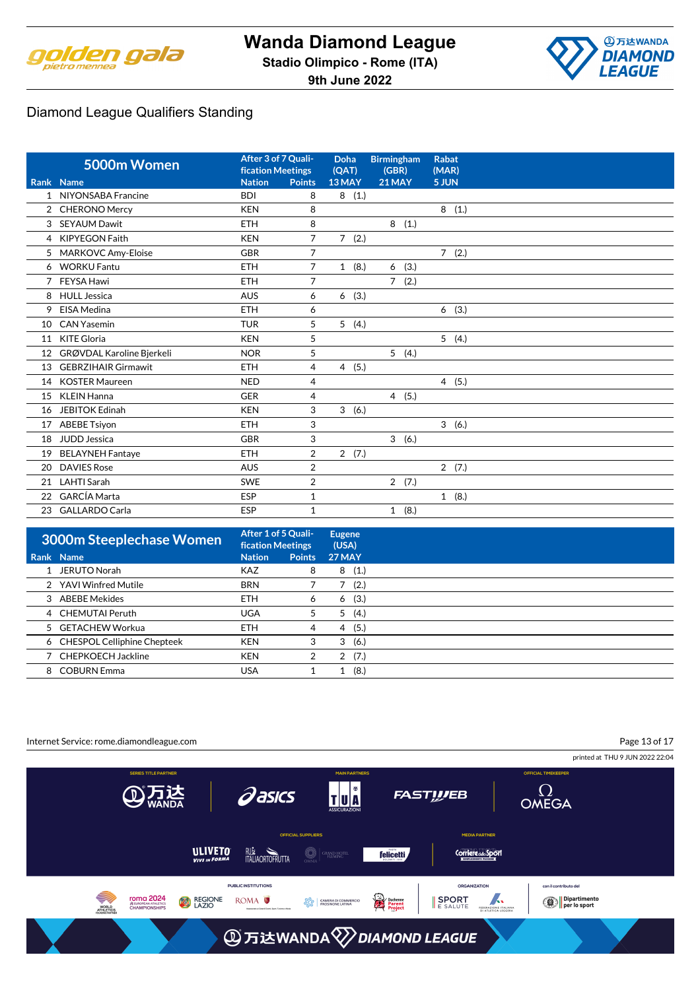

**A**万达WANDA **DIAMOND LEAGUE** 

|                 | 5000m Women                | After 3 of 7 Quali-<br><b>fication Meetings</b> |                | <b>Doha</b><br>(QAT) | <b>Birmingham</b><br>(GBR) | <b>Rabat</b><br>(MAR) |
|-----------------|----------------------------|-------------------------------------------------|----------------|----------------------|----------------------------|-----------------------|
|                 | Rank Name                  | <b>Nation</b>                                   | <b>Points</b>  | 13 MAY               | $21$ MAY                   | 5 JUN                 |
|                 | 1 NIYONSABA Francine       | <b>BDI</b>                                      | 8              | (1.)<br>8            |                            |                       |
|                 | 2 CHERONO Mercy            | <b>KEN</b>                                      | 8              |                      |                            | 8<br>(1.)             |
| 3               | <b>SEYAUM Dawit</b>        | <b>ETH</b>                                      | 8              |                      | 8(1.)                      |                       |
| 4               | <b>KIPYEGON Faith</b>      | <b>KEN</b>                                      | $\overline{7}$ | 7(2.)                |                            |                       |
| 5               | <b>MARKOVC Amy-Eloise</b>  | <b>GBR</b>                                      | $\overline{7}$ |                      |                            | 7(2.)                 |
|                 | 6 WORKU Fantu              | <b>ETH</b>                                      | $\overline{7}$ | 1(8.)                | (3.)<br>6                  |                       |
| 7               | FEYSA Hawi                 | <b>ETH</b>                                      | $\overline{7}$ |                      | $7^{\circ}$<br>(2.)        |                       |
| 8               | <b>HULL Jessica</b>        | <b>AUS</b>                                      | 6              | 6<br>(3.)            |                            |                       |
| 9               | EISA Medina                | <b>ETH</b>                                      | 6              |                      |                            | (3.)<br>6             |
| 10              | <b>CAN Yasemin</b>         | <b>TUR</b>                                      | 5              | 5(4.)                |                            |                       |
| 11              | <b>KITE Gloria</b>         | <b>KEN</b>                                      | 5              |                      |                            | 5(4.)                 |
| 12 <sup>°</sup> | GRØVDAL Karoline Bjerkeli  | <b>NOR</b>                                      | 5              |                      | 5(4.)                      |                       |
| 13              | <b>GEBRZIHAIR Girmawit</b> | <b>ETH</b>                                      | 4              | (5.)<br>4            |                            |                       |
| 14              | <b>KOSTER Maureen</b>      | <b>NED</b>                                      | $\overline{4}$ |                      |                            | 4(5.)                 |
| 15              | <b>KLEIN Hanna</b>         | <b>GER</b>                                      | 4              |                      | 4(5.)                      |                       |
| 16              | <b>JEBITOK Edinah</b>      | <b>KEN</b>                                      | 3              | 3<br>(6.)            |                            |                       |
| 17              | <b>ABEBE Tsiyon</b>        | <b>ETH</b>                                      | 3              |                      |                            | 3(6.)                 |
| 18              | JUDD Jessica               | <b>GBR</b>                                      | 3              |                      | 3(6.)                      |                       |
| 19              | <b>BELAYNEH Fantaye</b>    | <b>ETH</b>                                      | 2              | 2(7.)                |                            |                       |
| 20              | <b>DAVIES Rose</b>         | <b>AUS</b>                                      | 2              |                      |                            | 2(7.)                 |
| 21              | <b>LAHTI Sarah</b>         | <b>SWE</b>                                      | $\overline{2}$ |                      | 2(7.)                      |                       |
| 22              | <b>GARCÍA Marta</b>        | <b>ESP</b>                                      | 1              |                      |                            | 1(8.)                 |
|                 | 23 GALLARDO Carla          | ESP                                             | 1              |                      | 1(8.)                      |                       |

| 3000m Steeplechase Women      |               | After 1 of 5 Quali-<br><b>fication Meetings</b> |               |
|-------------------------------|---------------|-------------------------------------------------|---------------|
| Rank Name                     | <b>Nation</b> | <b>Points</b>                                   | <b>27 MAY</b> |
| 1 JERUTO Norah                | <b>KAZ</b>    | 8                                               | (1.)<br>8     |
| 2 YAVI Winfred Mutile         | <b>BRN</b>    |                                                 | (2.)          |
| 3 ABEBE Mekides               | <b>ETH</b>    | 6                                               | (3.)<br>6     |
| 4 CHEMUTAI Peruth             | <b>UGA</b>    | 5                                               | (4.)<br>5     |
| 5 GETACHEW Workua             | <b>ETH</b>    | 4                                               | (5.)<br>4     |
| 6 CHESPOL Celliphine Chepteek | <b>KEN</b>    | 3                                               | (6.)<br>3     |
| 7 CHEPKOECH Jackline          | <b>KEN</b>    | 2                                               | (7.)<br>2     |
| 8 COBURN Emma                 | <b>USA</b>    |                                                 | (8.)          |

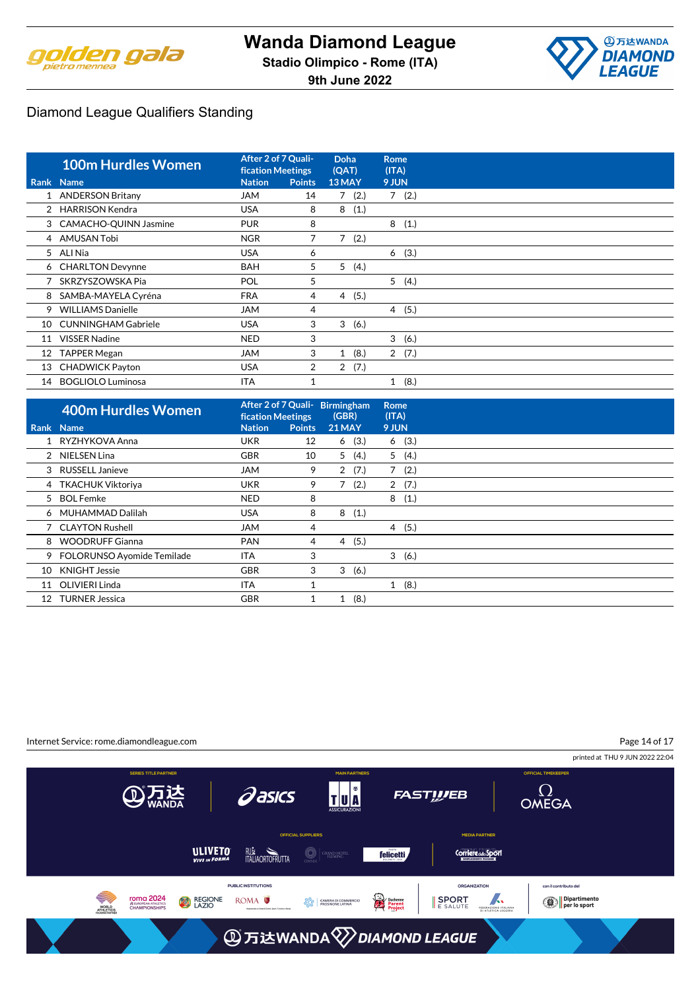



|    | <b>100m Hurdles Women</b>  | After 2 of 7 Quali-<br><b>fication Meetings</b> |                | <b>Doha</b><br>(QAT) | <b>Rome</b><br>(ITA) |  |
|----|----------------------------|-------------------------------------------------|----------------|----------------------|----------------------|--|
|    | Rank Name                  | <b>Nation</b>                                   | <b>Points</b>  | 13 MAY               | 9 JUN                |  |
|    | 1 ANDERSON Britany         | <b>JAM</b>                                      | 14             | 7(2.)                | 7(2.)                |  |
|    | 2 HARRISON Kendra          | <b>USA</b>                                      | 8              | 8<br>(1.)            |                      |  |
|    | 3 CAMACHO-QUINN Jasmine    | <b>PUR</b>                                      | 8              |                      | 8<br>(1.)            |  |
|    | 4 AMUSAN Tobi              | <b>NGR</b>                                      | 7              | 7<br>(2.)            |                      |  |
|    | 5 ALI Nia                  | <b>USA</b>                                      | 6              |                      | (3.)<br>6            |  |
|    | 6 CHARLTON Devynne         | <b>BAH</b>                                      | 5              | 5<br>(4.)            |                      |  |
|    | SKRZYSZOWSKA Pia           | POL                                             | 5              |                      | 5(4.)                |  |
| 8  | SAMBA-MAYELA Cyréna        | <b>FRA</b>                                      | 4              | (5.)<br>4            |                      |  |
| 9  | <b>WILLIAMS Danielle</b>   | <b>JAM</b>                                      | 4              |                      | 4(5.)                |  |
| 10 | <b>CUNNINGHAM Gabriele</b> | <b>USA</b>                                      | 3              | 3<br>(6.)            |                      |  |
| 11 | <b>VISSER Nadine</b>       | <b>NED</b>                                      | 3              |                      | 3<br>(6.)            |  |
| 12 | <b>TAPPER Megan</b>        | <b>JAM</b>                                      | 3              | 1(8.)                | 2(7.)                |  |
| 13 | <b>CHADWICK Payton</b>     | <b>USA</b>                                      | $\overline{2}$ | 2(7.)                |                      |  |
| 14 | <b>BOGLIOLO Luminosa</b>   | <b>ITA</b>                                      |                |                      | (8.)<br>$\mathbf{1}$ |  |

|    | <b>400m Hurdles Women</b>    | After 2 of 7 Quali-<br><b>fication Meetings</b> |               | Birmingham<br>(GBR) |      | Rome<br>(ITA)  |       |  |
|----|------------------------------|-------------------------------------------------|---------------|---------------------|------|----------------|-------|--|
|    | Rank Name                    | <b>Nation</b>                                   | <b>Points</b> | 21 MAY              |      | 9 JUN          |       |  |
|    | 1 RYZHYKOVA Anna             | <b>UKR</b>                                      | 12            | 6(3.)               |      |                | 6(3.) |  |
|    | 2 NIELSEN Lina               | <b>GBR</b>                                      | 10            | 5                   | (4.) | 5              | (4.)  |  |
| 3  | RUSSELL Janieve              | <b>JAM</b>                                      | 9             | 2                   | (7.) | 7              | (2.)  |  |
|    | 4 TKACHUK Viktoriya          | <b>UKR</b>                                      | 9             | 7                   | (2.) | $\overline{2}$ | (7.)  |  |
|    | 5 BOL Femke                  | <b>NED</b>                                      | 8             |                     |      | 8              | (1.)  |  |
|    | 6 MUHAMMAD Dalilah           | <b>USA</b>                                      | 8             | 8                   | (1.) |                |       |  |
|    | 7 CLAYTON Rushell            | JAM                                             | 4             |                     |      |                | 4(5.) |  |
| 8  | <b>WOODRUFF Gianna</b>       | <b>PAN</b>                                      | 4             | 4(5.)               |      |                |       |  |
|    | 9 FOLORUNSO Ayomide Temilade | ITA                                             | 3             |                     |      |                | 3(6.) |  |
| 10 | <b>KNIGHT Jessie</b>         | <b>GBR</b>                                      | 3             | 3                   | (6.) |                |       |  |
| 11 | <b>OLIVIERI Linda</b>        | <b>ITA</b>                                      |               |                     |      | 1              | (8.)  |  |
| 12 | <b>TURNER Jessica</b>        | <b>GBR</b>                                      |               | 1                   | (8.) |                |       |  |

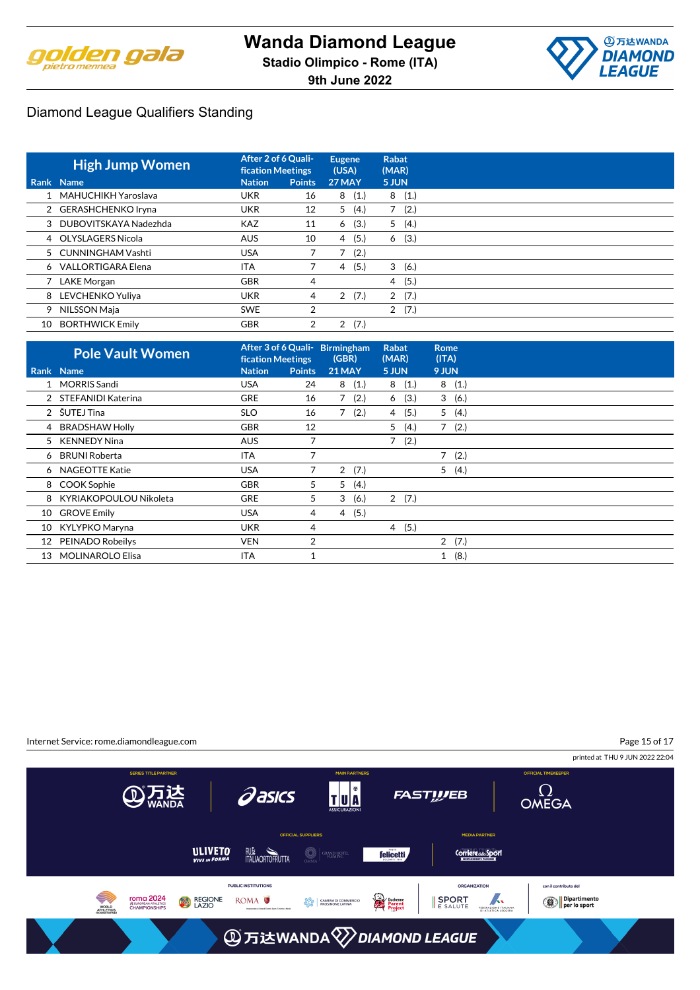



|             | <b>High Jump Women</b>  | After 2 of 6 Quali-<br><b>fication Meetings</b> |                | <b>Eugene</b><br>(USA) | <b>Rabat</b><br>(MAR)  |  |
|-------------|-------------------------|-------------------------------------------------|----------------|------------------------|------------------------|--|
| <b>Rank</b> | <b>Name</b>             | <b>Nation</b>                                   | <b>Points</b>  | 27 MAY                 | 5 JUN                  |  |
|             | 1 MAHUCHIKH Yaroslava   | <b>UKR</b>                                      | 16             | 8<br>(1.)              | 8(1.)                  |  |
|             | 2 GERASHCHENKO Iryna    | <b>UKR</b>                                      | 12             | 5<br>(4.)              | (2.)                   |  |
|             | 3 DUBOVITSKAYA Nadezhda | <b>KAZ</b>                                      | 11             | (3.)<br>6              | 5(4.)                  |  |
|             | 4 OLYSLAGERS Nicola     | <b>AUS</b>                                      | 10             | (5.)<br>4              | 6<br>(3.)              |  |
|             | 5 CUNNINGHAM Vashti     | <b>USA</b>                                      |                | (2.)                   |                        |  |
|             | 6 VALLORTIGARA Elena    | <b>ITA</b>                                      |                | (5.)<br>$\overline{4}$ | (6.)<br>3              |  |
|             | 7 LAKE Morgan           | <b>GBR</b>                                      | 4              |                        | (5.)<br>$\overline{4}$ |  |
|             | 8 LEVCHENKO Yuliya      | <b>UKR</b>                                      | 4              | 2(7.)                  | 2(7.)                  |  |
|             | 9 NILSSON Maja          | <b>SWE</b>                                      | 2              |                        | (7.)<br>$\overline{2}$ |  |
| 10          | <b>BORTHWICK Emily</b>  | <b>GBR</b>                                      | $\overline{2}$ | (7.)<br>2              |                        |  |

|    | <b>Pole Vault Women</b> | <b>fication Meetings</b> |               | After 3 of 6 Quali- Birmingham<br>(GBR) | <b>Rabat</b><br>(MAR) | Rome<br>(ITA) |
|----|-------------------------|--------------------------|---------------|-----------------------------------------|-----------------------|---------------|
|    | Rank Name               | <b>Nation</b>            | <b>Points</b> | <b>21 MAY</b>                           | 5 JUN                 | 9 JUN         |
|    | 1 MORRIS Sandi          | <b>USA</b>               | 24            | 8(1.)                                   | 8(1.)                 | 8(1.)         |
|    | 2 STEFANIDI Katerina    | <b>GRE</b>               | 16            | (2.)                                    | (3.)<br>6             | 3(6.)         |
|    | 2 SUTEJ Tina            | <b>SLO</b>               | 16            | (2.)<br>7                               | (5.)<br>4             | 5(4.)         |
|    | 4 BRADSHAW Holly        | <b>GBR</b>               | 12            |                                         | (4.)<br>5             | 7(2.)         |
|    | 5 KENNEDY Nina          | <b>AUS</b>               | 7             |                                         | 7(2.)                 |               |
|    | 6 BRUNI Roberta         | <b>ITA</b>               | 7             |                                         |                       | 7(2.)         |
|    | 6 NAGEOTTE Katie        | <b>USA</b>               | 7             | 2(7.)                                   |                       | 5(4.)         |
|    | 8 COOK Sophie           | <b>GBR</b>               | 5             | 5<br>(4.)                               |                       |               |
| 8  | KYRIAKOPOULOU Nikoleta  | <b>GRE</b>               | 5             | 3<br>(6.)                               | 2(7.)                 |               |
| 10 | <b>GROVE Emily</b>      | <b>USA</b>               | 4             | (5.)<br>4                               |                       |               |
| 10 | KYLYPKO Maryna          | <b>UKR</b>               | 4             |                                         | 4(5.)                 |               |
| 12 | PEINADO Robeilys        | <b>VEN</b>               | 2             |                                         |                       | 2(7.)         |
| 13 | <b>MOLINAROLO Elisa</b> | ITA                      |               |                                         |                       | (8.)<br>$1\,$ |

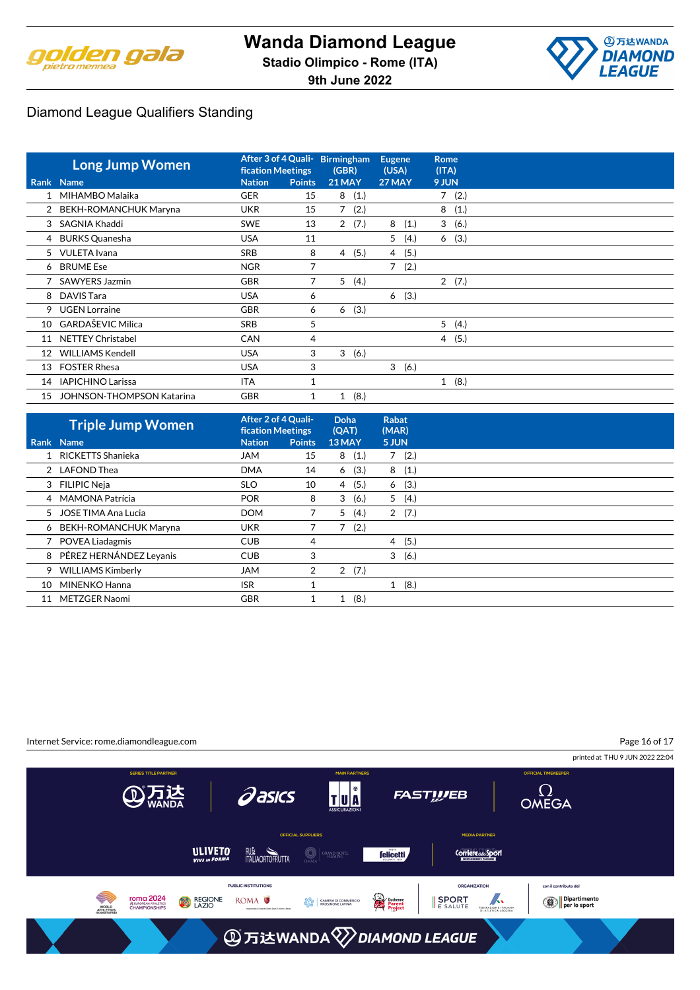



|                 | <b>Long Jump Women</b>           | After 3 of 4 Quali-<br><b>fication Meetings</b> |               | <b>Birmingham</b><br>(GBR) |       | <b>Eugene</b><br>(USA) |       | <b>Rome</b><br>(ITA) |       |
|-----------------|----------------------------------|-------------------------------------------------|---------------|----------------------------|-------|------------------------|-------|----------------------|-------|
|                 | Rank Name                        | <b>Nation</b>                                   | <b>Points</b> | <b>21 MAY</b>              |       | 27 MAY                 |       | 9 JUN                |       |
|                 | 1 MIHAMBO Malaika                | <b>GER</b>                                      | 15            |                            | 8(1.) |                        |       |                      | 7(2.) |
|                 | 2 BEKH-ROMANCHUK Maryna          | <b>UKR</b>                                      | 15            |                            | 7(2.) |                        |       | 8                    | (1.)  |
| 3               | SAGNIA Khaddi                    | <b>SWE</b>                                      | 13            |                            | 2(7.) | 8                      | (1.)  |                      | 3(6.) |
|                 | 4 BURKS Quanesha                 | <b>USA</b>                                      | 11            |                            |       | 5                      | (4.)  |                      | 6(3.) |
|                 | 5 VULETA Ivana                   | <b>SRB</b>                                      | 8             | 4                          | (5.)  | $\overline{4}$         | (5.)  |                      |       |
|                 | 6 BRUME Ese                      | <b>NGR</b>                                      | 7             |                            |       | $\overline{7}$         | (2.)  |                      |       |
|                 | SAWYERS Jazmin                   | <b>GBR</b>                                      | 7             | 5                          | (4.)  |                        |       |                      | 2(7.) |
|                 | 8 DAVIS Tara                     | <b>USA</b>                                      | 6             |                            |       | 6                      | (3.)  |                      |       |
| 9               | <b>UGEN Lorraine</b>             | <b>GBR</b>                                      | 6             | 6                          | (3.)  |                        |       |                      |       |
| 10              | <b>GARDAŠEVIC Milica</b>         | <b>SRB</b>                                      | 5             |                            |       |                        |       | 5                    | (4.)  |
| 11              | <b>NETTEY Christabel</b>         | <b>CAN</b>                                      | 4             |                            |       |                        |       |                      | 4(5.) |
| 12 <sup>2</sup> | <b>WILLIAMS Kendell</b>          | <b>USA</b>                                      | 3             | 3                          | (6.)  |                        |       |                      |       |
| 13              | <b>FOSTER Rhesa</b>              | <b>USA</b>                                      | 3             |                            |       |                        | 3(6.) |                      |       |
| 14              | <b>IAPICHINO Larissa</b>         | <b>ITA</b>                                      |               |                            |       |                        |       |                      | 1(8.) |
| 15              | <b>JOHNSON-THOMPSON Katarina</b> | <b>GBR</b>                                      | 1             | 1                          | (8.)  |                        |       |                      |       |

|    | <b>Triple Jump Women</b> | After 2 of 4 Quali-<br><b>fication Meetings</b> |               | <b>Doha</b><br>(QAT)   | Rabat<br>(MAR) |      |  |
|----|--------------------------|-------------------------------------------------|---------------|------------------------|----------------|------|--|
|    | Rank Name                | <b>Nation</b>                                   | <b>Points</b> | 13 MAY                 | 5 JUN          |      |  |
|    | RICKETTS Shanieka        | JAM                                             | 15            | 8(1.)                  | $7^{\circ}$    | (2.) |  |
|    | 2 LAFOND Thea            | <b>DMA</b>                                      | 14            | (3.)<br>6              | 8              | (1.) |  |
|    | 3 FILIPIC Neia           | <b>SLO</b>                                      | 10            | (5.)<br>4              | 6              | (3.) |  |
|    | 4 MAMONA Patrícia        | <b>POR</b>                                      | 8             | 3<br>(6.)              | 5              | (4.) |  |
| 5  | JOSE TIMA Ana Lucia      | <b>DOM</b>                                      |               | 5<br>(4.)              | $\overline{2}$ | (7.) |  |
|    | 6 BEKH-ROMANCHUK Maryna  | <b>UKR</b>                                      |               | 7<br>(2.)              |                |      |  |
|    | <b>POVEA Liadagmis</b>   | <b>CUB</b>                                      | 4             |                        | $\overline{4}$ | (5.) |  |
| 8  | PÉREZ HERNÁNDEZ Leyanis  | <b>CUB</b>                                      | 3             |                        | 3              | (6.) |  |
| 9  | <b>WILLIAMS Kimberly</b> | <b>JAM</b>                                      | 2             | (7.)<br>$\overline{2}$ |                |      |  |
| 10 | MINENKO Hanna            | <b>ISR</b>                                      |               |                        | $1\,$          | (8.) |  |
| 11 | METZGER Naomi            | <b>GBR</b>                                      |               | (8.)                   |                |      |  |